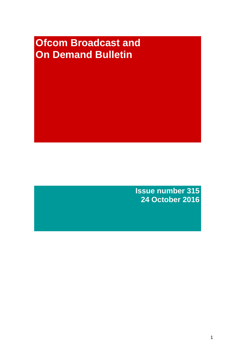# **Ofcom Broadcast and On Demand Bulletin**

**Issue number 315 24 October 2016**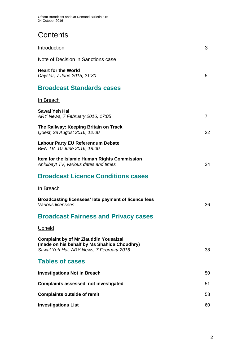# **Contents**

| Introduction                                                                                                                            | 3              |
|-----------------------------------------------------------------------------------------------------------------------------------------|----------------|
| Note of Decision in Sanctions case                                                                                                      |                |
| <b>Heart for the World</b><br>Daystar, 7 June 2015, 21:30                                                                               | 5              |
| <b>Broadcast Standards cases</b>                                                                                                        |                |
| <u>In Breach</u>                                                                                                                        |                |
| Sawal Yeh Hai<br>ARY News, 7 February 2016, 17:05                                                                                       | $\overline{7}$ |
| The Railway: Keeping Britain on Track<br>Quest, 28 August 2016, 12:00                                                                   | 22             |
| <b>Labour Party EU Referendum Debate</b><br>BEN TV, 10 June 2016, 18:00                                                                 |                |
| Item for the Islamic Human Rights Commission<br>Ahlulbayt TV, various dates and times                                                   | 24             |
| <b>Broadcast Licence Conditions cases</b>                                                                                               |                |
| In Breach                                                                                                                               |                |
| Broadcasting licensees' late payment of licence fees<br>Various licensees                                                               | 36             |
| <b>Broadcast Fairness and Privacy cases</b>                                                                                             |                |
| <u>Upheld</u>                                                                                                                           |                |
| <b>Complaint by of Mr Ziauddin Yousafzai</b><br>(made on his behalf by Ms Shahida Choudhry)<br>Sawal Yeh Hai, ARY News, 7 February 2016 | 38             |
| <b>Tables of cases</b>                                                                                                                  |                |
| <b>Investigations Not in Breach</b>                                                                                                     | 50             |
| <b>Complaints assessed, not investigated</b>                                                                                            | 51             |
| <b>Complaints outside of remit</b>                                                                                                      | 58             |
| <b>Investigations List</b>                                                                                                              | 60             |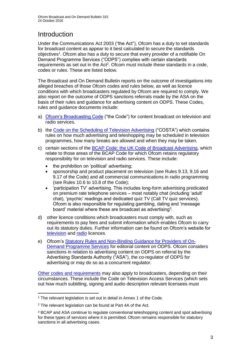# **Introduction**

Under the Communications Act 2003 ("the Act"), Ofcom has a duty to set standards for broadcast content as appear to it best calculated to secure the standards objectives<sup>1</sup>. Ofcom also has a duty to secure that every provider of a notifiable On Demand Programme Services ("ODPS") complies with certain standards requirements as set out in the Act<sup>2</sup>. Ofcom must include these standards in a code, codes or rules. These are listed below.

The Broadcast and On Demand Bulletin reports on the outcome of investigations into alleged breaches of those Ofcom codes and rules below, as well as licence conditions with which broadcasters regulated by Ofcom are required to comply. We also report on the outcome of ODPS sanctions referrals made by the ASA on the basis of their rules and guidance for advertising content on ODPS. These Codes, rules and guidance documents include:

- a) [Ofcom's Broadcasting Code](http://stakeholders.ofcom.org.uk/broadcasting/broadcast-codes/broadcast-code/) ("the Code") for content broadcast on television and radio services.
- b) the [Code on the Scheduling of Television Advertising](https://www.ofcom.org.uk/__data/assets/pdf_file/0014/32162/costa-april-2016.pdf) ("COSTA") which contains rules on how much advertising and teleshopping may be scheduled in television programmes, how many breaks are allowed and when they may be taken.
- c) certain sections of the [BCAP Code: the UK Code of Broadcast Advertising,](https://www.cap.org.uk/Advertising-Codes/Broadcast.aspx) which relate to those areas of the BCAP Code for which Ofcom retains regulatory responsibility for on television and radio services. These include:
	- the prohibition on 'political' advertising;
	- sponsorship and product placement on television (see Rules 9.13, 9.16 and 9.17 of the Code) and all commercial communications in radio programming (see Rules 10.6 to 10.8 of the Code);
	- 'participation TV' advertising. This includes long-form advertising predicated on premium rate telephone services – most notably chat (including 'adult' chat), 'psychic' readings and dedicated quiz TV (Call TV quiz services). Ofcom is also responsible for regulating gambling, dating and 'message board' material where these are broadcast as advertising<sup>3</sup>.
- d) other licence conditions which broadcasters must comply with, such as requirements to pay fees and submit information which enables Ofcom to carry out its statutory duties. Further information can be found on Ofcom's website for [television](http://licensing.ofcom.org.uk/tv-broadcast-licences/) and [radio](http://licensing.ofcom.org.uk/radio-broadcast-licensing/) licences.
- e) Ofcom's [Statutory Rules and Non-Binding Guidance for Providers of On-](http://stakeholders.ofcom.org.uk/binaries/broadcast/on-demand/rules-guidance/rules_and_guidance.pdf)[Demand Programme Services](http://stakeholders.ofcom.org.uk/binaries/broadcast/on-demand/rules-guidance/rules_and_guidance.pdf) for editorial content on ODPS. Ofcom considers sanctions in relation to advertising content on ODPS on referral by the Advertising Standards Authority ("ASA"), the co-regulator of ODPS for advertising or may do so as a concurrent regulator.

[Other codes and requirements](http://stakeholders.ofcom.org.uk/broadcasting/broadcast-codes/) may also apply to broadcasters, depending on their circumstances. These include the Code on Television Access Services (which sets out how much subtitling, signing and audio description relevant licensees must

<sup>1</sup> <sup>1</sup> The relevant legislation is set out in detail in Annex 1 of the Code.

<sup>&</sup>lt;sup>2</sup> The relevant legislation can be found at Part 4A of the Act.

<sup>3</sup> BCAP and ASA continue to regulate conventional teleshopping content and spot advertising for these types of services where it is permitted. Ofcom remains responsible for statutory sanctions in all advertising cases.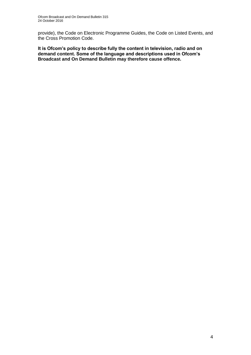provide), the Code on Electronic Programme Guides, the Code on Listed Events, and the Cross Promotion Code.

**It is Ofcom's policy to describe fully the content in television, radio and on demand content. Some of the language and descriptions used in Ofcom's Broadcast and On Demand Bulletin may therefore cause offence.**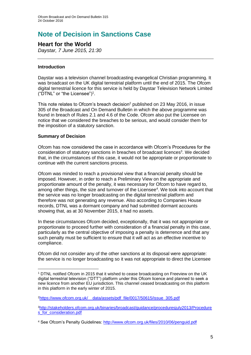# **Note of Decision in Sanctions Case**

# **Heart for the World**

*Daystar, 7 June 2015, 21:30*

# **Introduction**

Daystar was a television channel broadcasting evangelical Christian programming. It was broadcast on the UK digital terrestrial platform until the end of 2015. The Ofcom digital terrestrial licence for this service is held by Daystar Television Network Limited ("DTNL" or "the Licensee")<sup>1</sup> .

This note relates to Ofcom's breach decision<sup>2</sup> published on 23 May 2016, in issue 305 of the Broadcast and On Demand Bulletin in which the above programme was found in breach of Rules 2.1 and 4.6 of the Code. Ofcom also put the Licensee on notice that we considered the breaches to be serious, and would consider them for the imposition of a statutory sanction.

# **Summary of Decision**

1

Ofcom has now considered the case in accordance with Ofcom's Procedures for the consideration of statutory sanctions in breaches of broadcast licences<sup>3</sup>. We decided that, in the circumstances of this case, it would not be appropriate or proportionate to continue with the current sanctions process.

Ofcom was minded to reach a provisional view that a financial penalty should be imposed. However, in order to reach a Preliminary View on the appropriate and proportionate amount of the penalty, it was necessary for Ofcom to have regard to, among other things, the size and turnover of the Licensee<sup>4</sup>. We took into account that the service was no longer broadcasting on the digital terrestrial platform and therefore was not generating any revenue. Also according to Companies House records, DTNL was a dormant company and had submitted dormant accounts showing that, as at 30 November 2015, it had no assets.

In these circumstances Ofcom decided, exceptionally, that it was not appropriate or proportionate to proceed further with consideration of a financial penalty in this case, particularly as the central objective of imposing a penalty is deterrence and that any such penalty must be sufficient to ensure that it will act as an effective incentive to compliance.

Ofcom did not consider any of the other sanctions at its disposal were appropriate: the service is no longer broadcasting so it was not appropriate to direct the Licensee

<sup>1</sup> DTNL notified Ofcom in 2015 that it wished to cease broadcasting on Freeview on the UK digital terrestrial television ("DTT") platform under this Ofcom licence and planned to seek a new licence from another EU jurisdiction. This channel ceased broadcasting on this platform in this platform in the early winter of 2015.

<sup>2</sup>[https://www.ofcom.org.uk/\\_\\_data/assets/pdf\\_file/0017/50615/issue\\_305.pdf](https://www.ofcom.org.uk/__data/assets/pdf_file/0017/50615/issue_305.pdf)

<sup>3</sup>[http://stakeholders.ofcom.org.uk/binaries/broadcast/guidance/proceduresjuly2013/Procedure](http://stakeholders.ofcom.org.uk/binaries/broadcast/guidance/proceduresjuly2013/Procedures_for_consideration.pdf) s for consideration.pdf

<sup>4</sup> See Ofcom's Penalty Guidelines:<http://www.ofcom.org.uk/files/2010/06/penguid.pdf>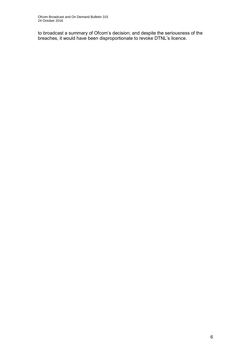to broadcast a summary of Ofcom's decision; and despite the seriousness of the breaches, it would have been disproportionate to revoke DTNL's licence.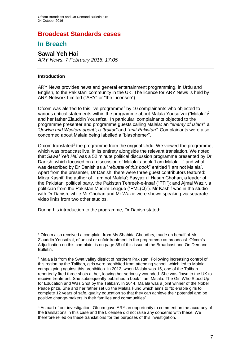# **Broadcast Standards cases**

# **In Breach**

# **Sawal Yeh Hai**

*ARY News, 7 February 2016, 17:05*

### **Introduction**

1

ARY News provides news and general entertainment programming, in Urdu and English, to the Pakistani community in the UK. The licence for ARY News is held by ARY Network Limited ("ARY" or "the Licensee").

Ofcom was alerted to this live programme<sup>1</sup> by 10 complainants who objected to various critical statements within the programme about Malala Yousafzai ("Malala")<sup>2</sup> and her father Ziauddin Yousafzai. In particular, complainants objected to the programme presenter and programme guests calling Malala: an *"enemy of Islam"*; a *"Jewish and Western agent"*; a *"traitor"* and *"anti-Pakistan"*. Complainants were also concerned about Malala being labelled a "blasphemer".

Ofcom translated<sup>3</sup> the programme from the original Urdu. We viewed the programme, which was broadcast live, in its entirety alongside the relevant translation. We noted that *Sawal Yeh Hai* was a 52 minute political discussion programme presented by Dr Danish, which focused on a discussion of Malala's book 'I am Malala…' and what was described by Dr Danish as a "*rebuttal of this book*" entitled 'I am not Malala'. Apart from the presenter, Dr Danish, there were three guest contributors featured: Mirza Kashif, the author of 'I am not Malala'; Fayyaz ul Hasan Chohan, a leader of the Pakistani political party, the Pakistan Tehreek-e-Insaf ("PTI"); and Ajmal Wazir, a politician from the Pakistan Muslim League ("PML(Q)"). Mr Kashif was in the studio with Dr Danish, while Mr Chohan and Mr Wazie were shown speaking via separate video links from two other studios.

During his introduction to the programme, Dr Danish stated:

<sup>1</sup> Ofcom also received a complaint from Ms Shahida Choudhry, made on behalf of Mr Ziauddin Yousafzai, of unjust or unfair treatment in the programme as broadcast. Ofcom's Adjudication on this complaint is on page 38 of this issue of the Broadcast and On Demand Bulletin.

<sup>2</sup> Malala is from the Swat valley district of northern Pakistan. Following increasing control of this region by the Taliban, girls were prohibited from attending school, which led to Malala campaigning against this prohibition. In 2012, when Malala was 15, one of the Taliban reportedly fired three shots at her, leaving her seriously wounded. She was flown to the UK to receive treatment. She subsequently published a book 'I am Malala: The Girl Who Stood Up for Education and Was Shot by the Taliban'. In 2014, Malala was a joint winner of the Nobel Peace prize. She and her father set up the Malala Fund which aims to "to enable girls to complete 12 years of safe, quality education so that they can achieve their potential and be positive change-makers in their families and communities".

<sup>&</sup>lt;sup>3</sup> As part of our investigation, Ofcom gave ARY an opportunity to comment on the accuracy of the translations in this case and the Licensee did not raise any concerns with these. We therefore relied on these translations for the purposes of this investigation.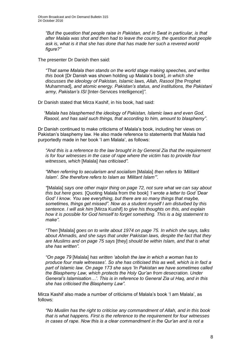*"But the question that people raise in Pakistan, and in Swat in particular, is that after Malala was shot and then had to leave the country, the question that people ask is, what is it that she has done that has made her such a revered world figure?"*

The presenter Dr Danish then said:

*"That same Malala then stands on the world stage making speeches, and writes this book* [Dr Danish was shown holding up Malala's book], *in which she discusses the ideology of Pakistan, Islamic laws, Allah, Rasool* [the Prophet Muhammad], *and atomic energy. Pakistan's status, and institutions, the Pakistani army, Pakistan's ISI* [Inter-Services Intelligence]*"*.

Dr Danish stated that Mirza Kashif, in his book, had said:

*"Malala has blasphemed the ideology of Pakistan, Islamic laws and even God, Rasool, and has said such things, that according to him, amount to blasphemy"*.

Dr Danish continued to make criticisms of Malala's book, including her views on Pakistan's blasphemy law. He also made reference to statements that Malala had purportedly made in her book 'I am Malala', as follows:

*"And this is a reference to the law brought in by General Zia that the requirement is for four witnesses in the case of rape where the victim has to provide four witnesses, which* [Malala] *has criticised".* 

*"When referring to secularism and socialism* [Malala] *then refers to 'Militant Islam'. She therefore refers to Islam as 'Militant Islam'".*

*"*[Malala] *says one other major thing on page 72, not sure what we can say about this but here goes.* [Quoting Malala from the book] *'I wrote a letter to God 'Dear God' I know. You see everything, but there are so many things that maybe, sometimes, things get missed". Now as a student myself I am disturbed by this sentence. I will ask him* [Mirza Kushif] *to give his thoughts on this, and explain how it is possible for God himself to forget something. This is a big statement to make".*

*"Then* [Malala] *goes on to write about 1974 on page 75. In which she says, talks about Ahmadis, and she says that under Pakistan laws, despite the fact that they are Muslims and on page 75 says* [they] *should be within Islam, and that is what she has written".* 

*"On page 79* [Malala] *has written 'abolish the law in which a woman has to produce four male witnesses'. So she has criticised this as well, which is in fact a part of Islamic law. On page 173 she says 'In Pakistan we have sometimes called the Blasphemy Law, which protects the Holy Qur'an from desecration. Under General's Islamisation…'. This is in reference to General Zia ul Haq, and in this she has criticised the Blasphemy Law".*

Mirza Kashif also made a number of criticisms of Malala's book 'I am Malala', as follows:

*"No Muslim has the right to criticise any commandment of Allah, and in this book that is what happens. First is the reference to the requirement for four witnesses in cases of rape. Now this is a clear commandment in the Qur'an and is not a*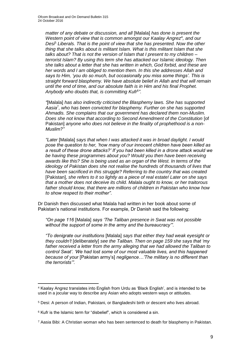*matter of any debate or discussion, and all* [Malala] *has done is present the*  Western point of view that is common amongst our Kaalay Angrez<sup>4</sup>, and our *Desi*<sup>5</sup> *Liberals. That is the point of view that she has presented. Now the other thing that she talks about is militant Islam. What is this militant Islam that she talks about? That is not the version of Islam that I present to my children – terrorist Islam? By using this term she has attacked our Islamic ideology. Then she talks about a letter that she has written in which, God forbid, and these are her words and I am obliged to mention them. In this she addresses Allah and says to Him, 'you do so much, but occasionally you miss some things'. This is straight forward blasphemy. We have absolute belief in Allah and that will remain until the end of time, and our absolute faith is in Him and his final Prophet. Anybody who doubts that, is committing Kufr*<sup>6</sup> *".*

*"*[Malala] *has also indirectly criticised the Blasphemy laws. She has supported Aasia*<sup>7</sup> *, who has been convicted for blasphemy. Further on she has supported Ahmadis. She complains that our government has declared them non-Muslim. Does she not know that according to Second Amendment of the Constitution [of* Pakistan] *anyone who does not believe in the finality of prophethood is a non-Muslim?"* 

*"Later* [Malala] *says that when I was attacked it was in broad daylight. I would pose the question to her, 'how many of our innocent children have been killed as a result of these drone attacks?' If you had been killed in a drone attack would we be having these programmes about you? Would you then have been receiving awards like this? She is being used as an organ of the West. In terms of the ideology of Pakistan does she not realise the hundreds of thousands of lives that have been sacrificed in this struggle? Referring to the country that was created* [Pakistan], *she refers to it so lightly as a piece of real estate! Later on she says that a mother does not deceive its child. Malala ought to know, or her traitorous father should know, that there are millions of children in Pakistan who know how to show respect to their mother"*.

Dr Danish then discussed what Malala had written in her book about some of Pakistan's national institutions. For example, Dr Danish said the following:

*"On page 116* [Malala] *says 'The Taliban presence in Swat was not possible without the support of some in the army and the bureaucracy'".*

*"To denigrate our institutions* [Malala] *says that either they had weak eyesight or they couldn't* [deliberately] *see the Taliban. Then on page 159 she says that 'my father received a letter from the army alleging that we had allowed the Taliban to control Swat'. 'We had lost some of our most valuable lives, and this happened because of your* [Pakistan army's] *negligence…'The military is no different than the terrorists'".*

1

<sup>4</sup> Kaalay Angrez translates into English from Urdu as 'Black English', and is intended to be used in a jocular way to describe any Asian who adopts western ways or attitudes.

<sup>5</sup> Desi: A person of Indian, Pakistani, or Bangladeshi birth or descent who lives abroad.

 $6$  Kufr is the Islamic term for "disbelief", which is considered a sin.

 $7$  Aasia Bibi: A Christian woman who has been sentenced to death for blasphemy in Pakistan.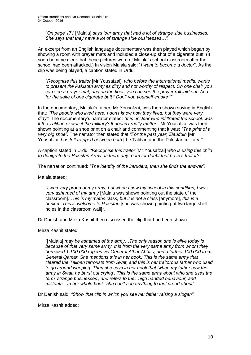*"On page 171* [Malala] *says 'our army that had a lot of strange side businesses. She says that they have a lot of strange side businesses…".*

An excerpt from an English language documentary was then played which began by showing a room with prayer mats and included a close-up shot of a cigarette butt. (It soon became clear that these pictures were of Malala's school classroom after the school had been attacked.) In vision Malala said: "*I want to become a doctor*". As the clip was being played, a caption stated in Urdu:

*"Recognise this traitor* [Mr Yousafzai]*, who before the international media, wants to present the Pakistan army as dirty and not worthy of respect. On one chair you can see a prayer mat, and on the floor, you can see the prayer roll laid out. And for the sake of one cigarette butt? Don't you yourself smoke?"*

In the documentary, Malala's father, Mr Yousafzai, was then shown saying in English that: *"The people who lived here, I don't know how they lived, but they were very dirty"*. The documentary's narrator stated: *"It is unclear who infiltrated the school, was it the Taliban or was it the military? It doesn't really matter"*. Mr Yousafzai was then shown pointing at a shoe print on a chair and commenting that it was: *"The print of a very big shoe"*. The narrator then stated that *"For the past year, Ziauddin* [Mr Yousafzai] *has felt trapped between both* [the Taliban and the Pakistan military]*"*.

A caption stated in Urdu: *"Recognise this traitor* [Mr Yousafzai] *who is using this child to denigrate the Pakistan Army. Is there any room for doubt that he is a traitor?"*

The narration continued: *"The identity of the intruders, then she finds the answer"*.

Malala stated:

*"I was very proud of my army, but when I saw my school in this condition, I was very ashamed of my army* [Malala was shown pointing out the state of the classroom]. *This is my maths class, but it is not a class* [anymore], *this is a bunker. This is welcome to Pakistan* [she was shown pointing at two large shell holes in the classroom wall]*"*.

Dr Danish and Mirza Kashif then discussed the clip that had been shown.

Mirza Kashif stated:

*"*[Malala] *may be ashamed of the army…The only reason she is alive today is because of that very same army. It is from the very same army from whom they borrowed 1,100,000 rupees via General Athar Abbas, and a further 100,000 from General Qamar. She mentions this in her book. This is the same army that cleared the Taliban terrorists from Swat, and this is her traitorous father who used to go around weeping. Then she says in her book that 'when my father saw the army in Swat, he burst out crying'. This is the same army about who she uses the term 'strange businesses', and refers to their high handed behaviour, and militants…In her whole book, she can't see anything to feel proud about"*.

Dr Danish said: *"Show that clip in which you see her father raising a slogan"*.

Mirza Kashif added: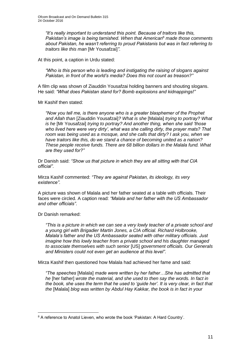*"It's really important to understand this point. Because of traitors like this, Pakistan's image is being tarnished. When that American*<sup>8</sup> *made those comments about Pakistan, he wasn't referring to proud Pakistanis but was in fact referring to traitors like this man* [Mr Yousafzai]*"*.

At this point, a caption in Urdu stated:

*"Who is this person who is leading and instigating the raising of slogans against Pakistan, in front of the world's media? Does this not count as treason?"*

A film clip was shown of Ziauddin Yousafzai holding banners and shouting slogans. He said: *"What does Pakistan stand for? Bomb explosions and kidnappings!"*

Mr Kashif then stated:

*"Now you tell me, is there anyone who is a greater blasphemer of the Prophet and Allah than* [Ziauddin Yousafzai]*? What is she* [Malala] *trying to portray? What is he* [Mr Yousafzai] *trying to portray? And another thing, when she said 'those who lived here were very dirty', what was she calling dirty, the prayer mats? That room was being used as a mosque, and she calls that dirty? I ask you, when we have traitors like this, do we stand a chance of becoming united as a nation? These people receive funds. There are 68 billion dollars in the Malala fund. What are they used for?"*

Dr Danish said: *"Show us that picture in which they are all sitting with that CIA official"*.

Mirza Kashif commented: *"They are against Pakistan, its ideology, its very existence"*.

A picture was shown of Malala and her father seated at a table with officials. Their faces were circled. A caption read: *"Malala and her father with the US Ambassador and other officials"*.

Dr Danish remarked:

1

*"This is a picture in which we can see a very lowly teacher of a private school and a young girl with Brigadier Martin Jones, a CIA official. Richard Holbrooke, Malala's father and the US Ambassador seated with other military officials. Just imagine how this lowly teacher from a private school and his daughter managed to associate themselves with such senior* [US] *government officials. Our Generals and Ministers could not even get an audience at this level"*.

Mirza Kashif then questioned how Malala had achieved her fame and said:

*"The speeches* [Malala] *made were written by her father…She has admitted that he* [her father] *wrote the material, and she used to then say the words. In fact in the book, she uses the term that he used to 'guide her'. It is very clear, in fact that the* [Malala] *blog was written by Abdul Hay Kakkar, the book is in fact in your* 

<sup>8</sup> A reference to Anatol Lieven, who wrote the book 'Pakistan: A Hard Country'.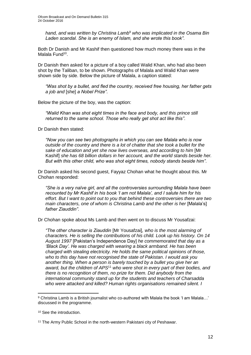*hand, and was written by Christina Lamb*<sup>9</sup> *who was implicated in the Osama Bin Laden scandal. She is an enemy of Islam, and she wrote this book"*.

Both Dr Danish and Mr Kashif then questioned how much money there was in the Malala Fund<sup>10</sup>.

Dr Danish then asked for a picture of a boy called Walid Khan, who had also been shot by the Taliban, to be shown. Photographs of Malala and Walid Khan were shown side by side. Below the picture of Malala, a caption stated:

*"Was shot by a bullet, and fled the country, received free housing, her father gets a job and* [she] *a Nobel Prize"*.

Below the picture of the boy, was the caption:

*"Walid Khan was shot eight times in the face and body, and this prince still returned to the same school. Those who really get shot act like this"*.

Dr Danish then stated:

*"Now you can see two photographs in which you can see Malala who is now outside of the country and there is a lot of chatter that she took a bullet for the sake of education and yet she now lives overseas, and according to him* [Mr Kashif] *she has 68 billion dollars in her account, and the world stands beside her. But with this other child, who was shot eight times, nobody stands beside him"*.

Dr Danish asked his second guest, Fayyaz Chohan what he thought about this. Mr Chohan responded:

*"She is a very naïve girl, and all the controversies surrounding Malala have been recounted by Mr Kashif in his book 'I am not Malala', and I salute him for his effort. But I want to point out to you that behind these controversies there are two main characters, one of whom is Christina Lamb and the other is her* [Malala's] *father Ziauddin"*.

Dr Chohan spoke about Ms Lamb and then went on to discuss Mr Yousafzai:

*"The other character is Ziauddin* [Mr Yousafzai]*, who is the most alarming of characters. He is selling the contributions of his child. Look up his history. On 14 August 1997* [Pakistan's Independence Day] *he commemorated that day as a 'Black Day'. He was charged with wearing a black armband. He has been charged with stealing electricity. He holds the same political opinions of those, who to this day have not recognised the state of Pakistan*. *I would ask you another thing. When a person is barely touched by a bullet you give her an award, but the children of APS*<sup>11</sup> *who were shot in every part of their bodies, and there is no recognition of them, no prize for them. Did anybody from the international community stand up for the students and teachers of Charsadda who were attacked and killed? Human rights organisations remained silent. I* 

1

<sup>9</sup> Christina Lamb is a British journalist who co-authored with Malala the book 'I am Malala...' discussed in the programme.

<sup>10</sup> See the introduction.

<sup>&</sup>lt;sup>11</sup> The Army Public School in the north-western Pakistani city of Peshawar.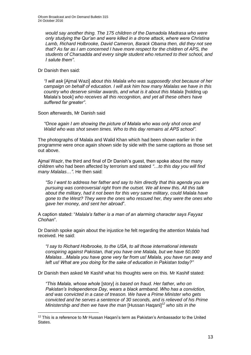*would say another thing. The 175 children of the Damadola Madrasa who were only studying the Qur'an and were killed in a drone attack, where were Christina Lamb, Richard Holbrooke, David Cameron, Barack Obama then, did they not see that? As far as I am concerned I have more respect for the children of APS, the students of Charsadda and every single student who returned to their school, and I salute them"*.

Dr Danish then said:

1

*"I will ask* [Ajmal Wazi] *about this Malala who was supposedly shot because of her campaign on behalf of education. I will ask him how many Malalas we have in this country who deserve similar awards, and what is it about this Malala* [holding up Malala's book] *who receives all this recognition, and yet all these others have suffered far greater"*.

Soon afterwards, Mr Danish said

*"Once again I am showing the picture of Malala who was only shot once and Walid who was shot seven times. Who to this day remains at APS school"*.

The photographs of Malala and Walid Khan which had been shown earlier in the programme were once again shown side by side with the same captions as those set out above.

Ajmal Wazir, the third and final of Dr Danish's guest, then spoke about the many children who had been affected by terrorism and stated *"*…*to this day you will find many Malalas*…*"*. He then said:

*"So I want to address her father and say to him directly that this agenda you are pursuing was controversial right from the outset. We all knew this. All this talk about the military, had it not been for this very same military, could Malala have gone to the West? They were the ones who rescued her, they were the ones who gave her money, and sent her abroad*".

A caption stated: "*Malala's father is a man of an alarming character says Fayyaz Chohan*".

Dr Danish spoke again about the injustice he felt regarding the attention Malala had received. He said:

*"I say to Richard Holbrooke, to the USA, to all those international interests conspiring against Pakistan, that you have one Malala, but we have 50,000 Malalas…Malala you have gone very far from us! Malala, you have run away and left us! What are you doing for the sake of education in Pakistan today?"*

Dr Danish then asked Mr Kashif what his thoughts were on this. Mr Kashif stated:

*"This Malala, whose whole* [story] *is based on fraud. Her father, who on Pakistan's Independence Day, wears a black armband. Who has a conviction, and was convicted in a case of treason. We have a Prime Minister who gets convicted and he serves a sentence of 30 seconds, and is relieved of his Prime Ministership and then we have the man* [Hussan Haqani]*<sup>12</sup> who sits in the* 

<sup>&</sup>lt;sup>12</sup> This is a reference to Mr Hussan Hagani's term as Pakistan's Ambassador to the United **States**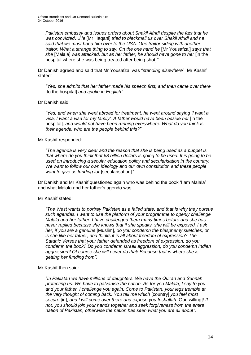*Pakistan embassy and issues orders about Shakil Afridi despite the fact that he was convicted…He* [Mr Haqani] *tried to blackmail us over Shakil Afridi and he said that we must hand him over to the USA. One traitor siding with another traitor. What a strange thing to say. On the one hand he* [Mr Yousafzai] *says that she* [Malala] *was attacked, but as her father, he should have gone to her* [in the hospital where she was being treated after being shot]*"*.

Dr Danish agreed and said that Mr Yousafzai was "*standing elsewhere*". Mr Kashif stated:

*"Yes, she admits that her father made his speech first, and then came over there*  [to the hospital] *and spoke in English"*.

Dr Danish said:

*"Yes, and when she went abroad for treatment, he went around saying 'I want a visa, I want a visa for my family'. A father would have been beside her* [in the hospital]*, and would not have been running everywhere. What do you think is their agenda, who are the people behind this?"*

### Mr Kashif responded:

*"The agenda is very clear and the reason that she is being used as a puppet is that where do you think that 68 billion dollars is going to be used. It is going to be used on introducing a secular education policy and secularisation in the country. We want to follow our own ideology and our own constitution and these people want to give us funding for* [secularisation]*"*.

Dr Danish and Mr Kashif questioned again who was behind the book 'I am Malala' and what Malala and her father's agenda was.

# Mr Kashif stated:

*"The West wants to portray Pakistan as a failed state, and that is why they pursue such agendas. I want to use the platform of your programme to openly challenge Malala and her father. I have challenged them many times before and she has never replied because she knows that if she speaks, she will be exposed. I ask her, if you are a genuine* [Muslim], *do you condemn the blasphemy sketches, or is she like her father, and thinks it is all about freedom of expression? The Satanic Verses that your father defended as freedom of expression, do you condemn the book? Do you condemn Israeli aggression, do you condemn Indian aggression? Of course she will never do that! Because that is where she is getting her funding from"*.

Mr Kashif then said:

*"In Pakistan we have millions of daughters. We have the Qur'an and Sunnah protecting us. We have to galvanise the nation. As for you Malala, I say to you and your father, I challenge you again. Come to Pakistan, your legs tremble at the very thought of coming back. You tell me which* [country] *you feel most secure* [in], *and I will come over there and expose you Inshallah* [God willing]! *If not, you should join your hands together and seek forgiveness from the entire nation of Pakistan, otherwise the nation has seen what you are all about"*.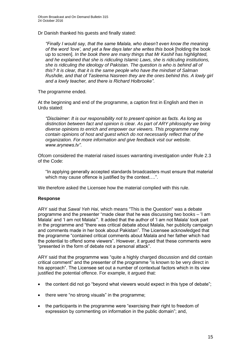Dr Danish thanked his guests and finally stated:

*"Finally I would say, that the same Malala, who doesn't even know the meaning of the word 'love', and yet a few days later she writes this book* [holding the book up to screen]. *In the book there are many things that Mr Kashif has highlighted, and he explained that she is ridiculing Islamic Laws, she is ridiculing institutions, she is ridiculing the ideology of Pakistan. The question is who is behind all of this? It is clear, that it is the same people who have the mindset of Salman Rushdie, and that of Tasleema Nasreen they are the ones behind this. A lowly girl and a lowly teacher, and there is Richard Holbrooke"*.

The programme ended.

At the beginning and end of the programme, a caption first in English and then in Urdu stated:

*"Disclaimer: It is our responsibility not to present opinion as facts. As long as distinction between fact and opinion is clear. As part of ARY philosophy we bring diverse opinions to enrich and empower our viewers. This programme may contain opinions of host and guest which do not necessarily reflect that of the organization. For more information and give feedback visit our website. www.arynews.tv"*.

Ofcom considered the material raised issues warranting investigation under Rule 2.3 of the Code:

"In applying generally accepted standards broadcasters must ensure that material which may cause offence is justified by the context....".

We therefore asked the Licensee how the material complied with this rule.

# **Response**

ARY said that *Sawal Yeh Hai*, which means "This is the Question" was a debate programme and the presenter "made clear that he was discussing two books – 'I am Malala' and 'I am not Malala'". It added that the author of 'I am not Malala' took part in the programme and "there was critical debate about Malala, her publicity campaign and comments made in her book about Pakistan". The Licensee acknowledged that the programme "contained critical comments about Malala and her father which had the potential to offend some viewers". However, it argued that these comments were "presented in the form of debate not a personal attack".

ARY said that the programme was "quite a highly charged discussion and did contain critical comment" and the presenter of the programme "is known to be very direct in his approach". The Licensee set out a number of contextual factors which in its view justified the potential offence. For example, it argued that:

- the content did not go "beyond what viewers would expect in this type of debate";
- there were "no strong visuals" in the programme;
- the participants in the programme were "exercising their right to freedom of expression by commenting on information in the public domain"; and,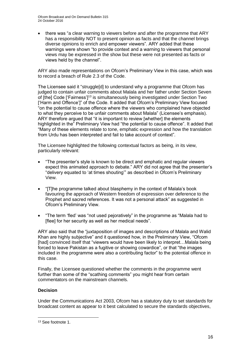• there was "a clear warning to viewers before and after the programme that ARY has a responsibility NOT to present opinion as facts and that the channel brings diverse opinions to enrich and empower viewers". ARY added that these warnings were shown "to provide context and a warning to viewers that personal views may be expressed in the show but these were not presented as facts or views held by the channel".

ARY also made representations on Ofcom's Preliminary View in this case, which was to record a breach of Rule 2.3 of the Code.

The Licensee said it "struggle[d] to understand why a programme that Ofcom has judged to contain unfair comments about Malala and her father under Section Seven of [the] Code ['Fairness']<sup>13</sup> is simultaneously being investigated under Section Two ['Harm and Offence']" of the Code. It added that Ofcom's Preliminary View focused "on the potential to cause offence where the viewers who complained have objected to what they perceive to be unfair comments about Malala" (Licensee's emphasis). ARY therefore argued that "it is important to review [whether] the elements highlighted in the" Preliminary View had "the potential to cause offence". It added that "Many of these elements relate to tone, emphatic expression and how the translation from Urdu has been interpreted and fail to take account of context".

The Licensee highlighted the following contextual factors as being, in its view, particularly relevant:

- "The presenter's style is known to be direct and emphatic and regular viewers expect this animated approach to debate." ARY did not agree that the presenter's "delivery equated to 'at times shouting'" as described in Ofcom's Preliminary View.
- "[T]he programme talked about blasphemy in the context of Malala's book favouring the approach of Western freedom of expression over deference to the Prophet and sacred references. It was not a personal attack" as suggested in Ofcom's Preliminary View.
- "The term 'fled' was "not used pejoratively" in the programme as "Malala had to [flee] for her security as well as her medical needs".

ARY also said that the "juxtaposition of images and descriptions of Malala and Walid Khan are highly subjective" and it questioned how, in the Preliminary View, "Ofcom [had] convinced itself that "viewers would have been likely to interpret…Malala being forced to leave Pakistan as a fugitive or showing cowardice", or that "the images included in the programme were also a contributing factor" to the potential offence in this case.

Finally, the Licensee questioned whether the comments in the programme went further than some of the "scathing comments" you might hear from certain commentators on the mainstream channels.

# **Decision**

1

Under the Communications Act 2003, Ofcom has a statutory duty to set standards for broadcast content as appear to it best calculated to secure the standards objectives,

<sup>13</sup> See footnote 1.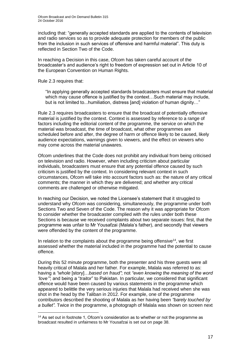including that: "generally accepted standards are applied to the contents of television and radio services so as to provide adequate protection for members of the public from the inclusion in such services of offensive and harmful material". This duty is reflected in Section Two of the Code.

In reaching a Decision in this case, Ofcom has taken careful account of the broadcaster's and audience's right to freedom of expression set out in Article 10 of the European Convention on Human Rights.

Rule 2.3 requires that:

1

"In applying generally accepted standards broadcasters must ensure that material which may cause offence is justified by the context…Such material may include, but is not limited to...humiliation, distress [and] violation of human dignity..."

Rule 2.3 requires broadcasters to ensure that the broadcast of potentially offensive material is justified by the context. Context is assessed by reference to a range of factors including the editorial content of the programme, the service on which the material was broadcast, the time of broadcast, what other programmes are scheduled before and after, the degree of harm or offence likely to be caused, likely audience expectations, warnings given to viewers, and the effect on viewers who may come across the material unawares.

Ofcom underlines that the Code does not prohibit any individual from being criticised on television and radio. However, when including criticism about particular individuals, broadcasters must ensure that any potential offence caused by such criticism is justified by the context. In considering relevant context in such circumstances, Ofcom will take into account factors such as: the nature of any critical comments; the manner in which they are delivered; and whether any critical comments are challenged or otherwise mitigated.

In reaching our Decision, we noted the Licensee's statement that it struggled to understand why Ofcom was considering, simultaneously, the programme under both Sections Two and Seven of the Code. The reason why it was appropriate for Ofcom to consider whether the broadcaster complied with the rules under both these Sections is because we received complaints about two separate issues: first, that the programme was unfair to Mr Yousafzai (Malala's father), and secondly that viewers were offended by the content of the programme.

In relation to the complaints about the programme being offensive<sup>14</sup>, we first assessed whether the material included in the programme had the potential to cause offence.

During this 52 minute programme, both the presenter and his three guests were all heavily critical of Malala and her father. For example, Malala was referred to as: having a *"whole* [story]…*based on fraud"*; not *"even knowing the meaning of the word 'love'"*; and being a "*traitor*" to Pakistan*.* In particular, we considered that significant offence would have been caused by various statements in the programme which appeared to belittle the very serious injuries that Malala had received when she was shot in the head by the Taliban in 2012. For example, one of the programme contributors described the shooting of Malala as her having been *"barely touched by a bullet".* Twice in the programme, a photograph of Malala was shown on screen next

<sup>&</sup>lt;sup>14</sup> As set out in footnote 1, Ofcom's consideration as to whether or not the programme as broadcast resulted in unfairness to Mr Yousafzai is set out on page 38.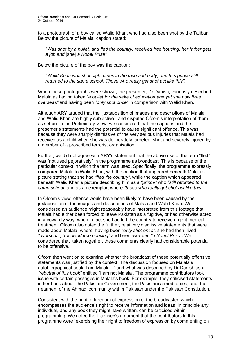to a photograph of a boy called Walid Khan, who had also been shot by the Taliban. Below the picture of Malala, caption stated:

*"Was shot by a bullet, and fled the country, received free housing, her father gets a job and* [she] *a Nobel Prize"*.

Below the picture of the boy was the caption:

*"Walid Khan was shot eight times in the face and body, and this prince still returned to the same school. Those who really get shot act like this"*.

When these photographs were shown, the presenter, Dr Danish, variously described Malala as having taken *"a bullet for the sake of education and yet she now lives overseas"* and having been *"only shot once"* in comparison with Walid Khan.

Although ARY argued that the "juxtaposition of images and descriptions of Malala and Walid Khan are highly subjective", and disputed Ofcom's interpretation of them as set out in the Preliminary View, we considered that the captions and the presenter's statements had the potential to cause significant offence. This was because they were sharply dismissive of the very serious injuries that Malala had received as a child when she was deliberately targeted, shot and severely injured by a member of a proscribed terrorist organisation.

Further, we did not agree with ARY's statement that the above use of the term "fled*"*  was "not used pejoratively" in the programme as broadcast. This is because of the particular context in which the term was used. Specifically, the programme expressly compared Malala to Walid Khan, with the caption that appeared beneath Malala's picture stating that she had *"fled the country"*, while the caption which appeared beneath Walid Khan's picture describing him as a *"prince"* who *"still returned to the same school"* and as an exemplar, where *"those who really get shot act like this"*.

In Ofcom's view, offence would have been likely to have been caused by the juxtaposition of the images and descriptions of Malala and Walid Khan. We considered an audience might reasonably have interpreted from this footage that Malala had either been forced to leave Pakistan as a fugitive, or had otherwise acted in a cowardly way, when in fact she had left the country to receive urgent medical treatment. Ofcom also noted the further, relatively dismissive statements that were made about Malala, where, having been "*only shot once"*, she had then: lived *"overseas"*; *"received free housing"* and been awarded *"a Nobel Prize"*. We considered that, taken together, these comments clearly had considerable potential to be offensive.

Ofcom then went on to examine whether the broadcast of these potentially offensive statements was justified by the context. The discussion focused on Malala's autobiographical book 'I am Malala…' and what was described by Dr Danish as a *"rebuttal of this book"* entitled 'I am not Malala'. The programme contributors took issue with certain passages in Malala's book. For example, they criticised statements in her book about: the Pakistani Government; the Pakistani armed forces; and, the treatment of the Ahmadi community within Pakistan under the Pakistan Constitution.

Consistent with the right of freedom of expression of the broadcaster, which encompasses the audience's right to receive information and ideas, in principle any individual, and any book they might have written, can be criticised within programming. We noted the Licensee's argument that the contributors in this programme were "exercising their right to freedom of expression by commenting on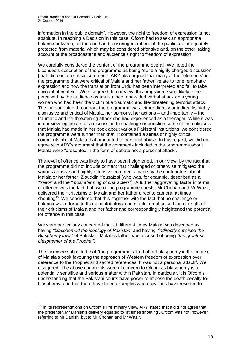information in the public domain". However, the right to freedom of expression is not absolute. In reaching a Decision in this case, Ofcom had to seek an appropriate balance between, on the one hand, ensuring members of the public are adequately protected from material which may be considered offensive and, on the other, taking account of the broadcaster's and audience's right to freedom of expression.

We carefully considered the content of the programme overall. We noted the Licensee's description of the programme as being "quite a highly charged discussion [that] did contain critical comment". ARY also argued that many of the "elements" in the programme that were critical of Malala and her father "relate to tone, emphatic expression and how the translation from Urdu has been interpreted and fail to take account of context". We disagreed. In our view, this programme was likely to be perceived by the audience as a sustained, one-sided verbal attack on a young woman who had been the victim of a traumatic and life-threatening terrorist attack. The tone adopted throughout the programme was, either directly or indirectly, highly dismissive and critical of Malala, her opinions, her actions – and importantly – the traumatic and life-threatening attack she had experienced as a teenager. While it was in our view legitimate for a discussion to challenge or question some of the criticisms that Malala had made in her book about various Pakistani institutions, we considered the programme went further than that. It contained a series of highly critical comments about Malala that amounted to personal abuse. In this regard, we did not agree with ARY's argument that the comments included in the programme about Malala were "presented in the form of debate not a personal attack".

The level of offence was likely to have been heightened, in our view, by the fact that the programme did not include content that challenged or otherwise mitigated the various abusive and highly offensive comments made by the contributors about Malala or her father, Ziauddin Yousafzai (who was, for example, described as a *"traitor"* and the *"most alarming of characters"*)*.* A further aggravating factor in terms of offence was the fact that two of the programme guests, Mr Chohan and Mr Wazir, delivered their criticisms of Malala and her father direct to camera, at times shouting<sup>15</sup>. We considered that this, together with the fact that no challenge or balance was offered to these contributors' comments, emphasised the strength of their criticisms of Malala and her father and correspondingly heightened the potential for offence in this case.

We were particularly concerned that at different times Malala was described as having *"blasphemed the ideology of Pakistan"* and having *"indirectly criticised the Blasphemy laws"* of Pakistan. Malala's father was accused of being *"the greatest blasphemer of the Prophet".* 

The Licensee submitted that "the programme talked about blasphemy in the context of Malala's book favouring the approach of Western freedom of expression over deference to the Prophet and sacred references. It was not a personal attack". We disagreed. The above comments were of concern to Ofcom as blasphemy is a potentially sensitive and serious matter within Pakistan. In particular, it is Ofcom's understanding that the Pakistani courts have power to impose the death penalty for blasphemy, and that there have been examples where civilians have resorted to

1

<sup>&</sup>lt;sup>15</sup> In its representations on Ofcom's Preliminary View, ARY stated that it did not agree that the presenter, Mr Danish's delivery equated to 'at times shouting'. Ofcom was not, however, referring to Mr Danish, but to Mr Chohan and Mr Wazir.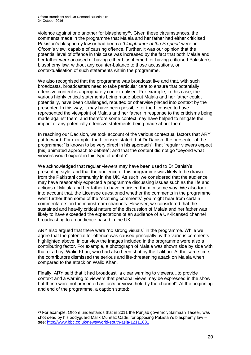violence against one another for blasphemy<sup>16</sup>. Given these circumstances, the comments made in the programme that Malala and her father had either criticised Pakistan's blasphemy law or had been a *"blasphemer of the Prophet"* were, in Ofcom's view, capable of causing offence. Further, it was our opinion that the potential level of offence in this case was increased by the fact that both Malala and her father were accused of having either blasphemed, or having criticised Pakistan's blasphemy law, without any counter-balance to those accusations, or contextualisation of such statements within the programme.

We also recognised that the programme was broadcast live and that, with such broadcasts, broadcasters need to take particular care to ensure that potentially offensive content is appropriately contextualised. For example, in this case, the various highly critical statements being made about Malala and her father could, potentially, have been challenged, rebutted or otherwise placed into context by the presenter. In this way, it may have been possible for the Licensee to have represented the viewpoint of Malala and her father in response to the criticisms being made against them, and therefore some context may have helped to mitigate the impact of any potentially offensive statements being made about them.

In reaching our Decision, we took account of the various contextual factors that ARY put forward. For example, the Licensee stated that Dr Danish, the presenter of the programme: "is known to be very direct in his approach"; that "regular viewers expect [his] animated approach to debate"; and that the content did not go "beyond what viewers would expect in this type of debate".

We acknowledged that regular viewers may have been used to Dr Danish's presenting style, and that the audience of this programme was likely to be drawn from the Pakistani community in the UK. As such, we considered that the audience may have reasonably expected a programme discussing issues such as the life and actions of Malala and her father to have criticised them in some way. We also took into account that, the Licensee questioned whether the comments in the programme went further than some of the "scathing comments" you might hear from certain commentators on the mainstream channels. However, we considered that the sustained and heavily critical nature of the discussion of Malala and her father was likely to have exceeded the expectations of an audience of a UK-licensed channel broadcasting to an audience based in the UK.

ARY also argued that there were "no strong visuals" in the programme. While we agree that the potential for offence was caused principally by the various comments highlighted above, in our view the images included in the programme were also a contributing factor. For example, a photograph of Malala was shown side by side with that of a boy, Walid Khan, who had also been shot by the Taliban. At the same time, the contributors dismissed the serious and life-threatening attack on Malala when compared to the attack on Walid Khan.

Finally, ARY said that it had broadcast "a clear warning to viewers…to provide context and a warning to viewers that personal views may be expressed in the show but these were not presented as facts or views held by the channel". At the beginning and end of the programme, a caption stated:

1

<sup>&</sup>lt;sup>16</sup> For example, Ofcom understands that in 2011 the Puniab governor, Salmaan Taseer, was shot dead by his bodyguard Malik Mumtaz Qadri, for opposing Pakistan's blasphemy law – see:<http://www.bbc.co.uk/news/world-south-asia-12111831>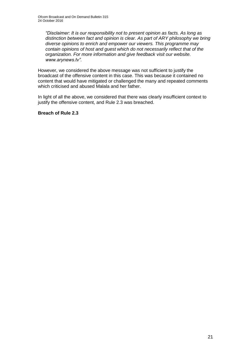*"Disclaimer: It is our responsibility not to present opinion as facts. As long as distinction between fact and opinion is clear. As part of ARY philosophy we bring diverse opinions to enrich and empower our viewers. This programme may contain opinions of host and guest which do not necessarily reflect that of the organization. For more information and give feedback visit our website. www.arynews.tv"*.

However, we considered the above message was not sufficient to justify the broadcast of the offensive content in this case. This was because it contained no content that would have mitigated or challenged the many and repeated comments which criticised and abused Malala and her father.

In light of all the above, we considered that there was clearly insufficient context to justify the offensive content, and Rule 2.3 was breached.

### **Breach of Rule 2.3**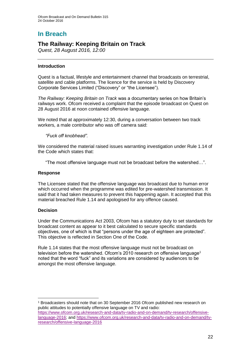# **In Breach**

# **The Railway: Keeping Britain on Track**

*Quest, 28 August 2016, 12:00*

# **Introduction**

Quest is a factual, lifestyle and entertainment channel that broadcasts on terrestrial, satellite and cable platforms. The licence for the service is held by Discovery Corporate Services Limited ("Discovery" or "the Licensee").

*The Railway: Keeping Britain on Track* was a documentary series on how Britain's railways work. Ofcom received a complaint that the episode broadcast on Quest on 28 August 2016 at noon contained offensive language.

We noted that at approximately 12:30, during a conversation between two track workers, a male contributor who was off camera said:

# *"Fuck off knobhead".*

We considered the material raised issues warranting investigation under Rule 1.14 of the Code which states that:

"The most offensive language must not be broadcast before the watershed…".

# **Response**

The Licensee stated that the offensive language was broadcast due to human error which occurred when the programme was edited for pre-watershed transmission. It said that it had taken measures to prevent this happening again. It accepted that this material breached Rule 1.14 and apologised for any offence caused.

# **Decision**

1

Under the Communications Act 2003, Ofcom has a statutory duty to set standards for broadcast content as appear to it best calculated to secure specific standards objectives, one of which is that "persons under the age of eighteen are protected". This objective is reflected in Section One of the Code.

Rule 1.14 states that the most offensive language must not be broadcast on television before the watershed. Ofcom's 2010 research on offensive language<sup>1</sup> noted that the word "fuck" and its variations are considered by audiences to be amongst the most offensive language.

<sup>1</sup> Broadcasters should note that on 30 September 2016 Ofcom published new research on public attitudes to potentially offensive language on TV and radio: [https://www.ofcom.org.uk/research-and-data/tv-radio-and-on-demand/tv-research/offensive](https://www.ofcom.org.uk/research-and-data/tv-radio-and-on-demand/tv-research/offensive-language-2016)[language-2016;](https://www.ofcom.org.uk/research-and-data/tv-radio-and-on-demand/tv-research/offensive-language-2016) and [https://www.ofcom.org.uk/research-and-data/tv-radio-and-on-demand/tv](https://www.ofcom.org.uk/research-and-data/tv-radio-and-on-demand/tv-research/offensive-language-2016)[research/offensive-language-2016](https://www.ofcom.org.uk/research-and-data/tv-radio-and-on-demand/tv-research/offensive-language-2016)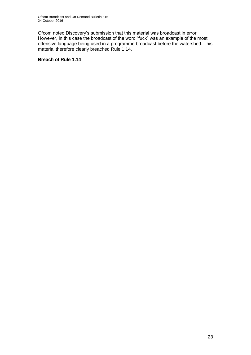Ofcom noted Discovery's submission that this material was broadcast in error. However, in this case the broadcast of the word "fuck" was an example of the most offensive language being used in a programme broadcast before the watershed. This material therefore clearly breached Rule 1.14.

# **Breach of Rule 1.14**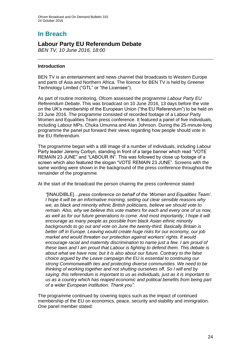# **In Breach**

# **Labour Party EU Referendum Debate**

*BEN TV, 10 June 2016, 18:00*

# **Introduction**

BEN TV is an entertainment and news channel that broadcasts to Western Europe and parts of Asia and Northern Africa. The licence for BEN TV is held by Greener Technology Limited ("GTL" or "the Licensee").

As part of routine monitoring, Ofcom assessed the programme *Labour Party EU Referendum Debate*. This was broadcast on 10 June 2016, 13 days before the vote on the UK's membership of the European Union ("the EU Referendum") to be held on 23 June 2016. The programme consisted of recorded footage of a Labour Party Women and Equalities Team press conference. It featured a panel of five individuals, including Labour MPs, Chuka Umunna and Alan Johnson. During the 25-minute-long programme the panel put forward their views regarding how people should vote in the EU Referendum.

The programme began with a still image of a number of individuals, including Labour Party leader Jeremy Corbyn, standing in front of a large banner which read "VOTE REMAIN 23 JUNE" and "LABOUR IN". This was followed by close up footage of a screen which also featured the slogan "VOTE REMAIN 23 JUNE". Screens with the same wording were shown in the background of the press conference throughout the remainder of the programme.

At the start of the broadcast the person chairing the press conference stated:

*"*[INAUDIBLE]…*press conference on behalf of the 'Women and Equalities Team'. I hope it will be an informative morning, setting out clear sensible reasons why we, as black and minority ethnic British politicians, believe we should vote to remain. Also, why we believe this vote matters for each and every one of us now,*  as well as for our future generations to come. And most importantly, I hope it will *encourage as many people as possible from black Asian ethnic minority backgrounds to go out and vote on June the twenty-third. Basically Britain is better off in Europe. Leaving would create huge risks for our economy, our job market and would threaten our protection against workers' rights. It would encourage racial and maternity discrimination to name just a few. I am proud of these laws and I am proud that Labour is fighting to defend them. This debate is about what we have now, but it is also about our future. Contrary to the false choice argued by the Leave campaign the EU is essential to continuing our strong Commonwealth ties and protecting diverse communities. We need to be thinking of working together and not shutting ourselves off. So I will end by saying: this referendum is important to us as individuals, just as it is important to us as a country which has reaped economic and political benefits from being part of a wider European institution. Thank you".*

The programme continued by covering topics such as the impact of continued membership of the EU on economics, peace, security and stability and immigration. One panel member stated: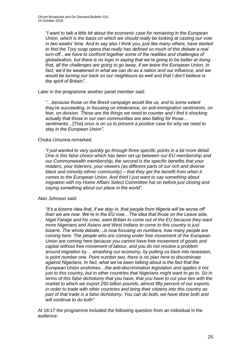*"I want to talk a little bit about the economic case for remaining in the European Union, which is the basis on which we should really be looking at casting our vote in two weeks' time. And to say also I think you, just like many others, have started to find the Tory soap opera that really has defined so much of this debate a real turn-off…we have to confront together some of the realities and challenges of globalisation, but there is no logic in saying that we're going to be better at doing that, all the challenges are going to go away, if we leave the European Union. In fact, we'd be weakened in what we can do as a nation and our influence, and we would be turning our back on our neighbours as well and that I don't believe is the spirit of Britain".*

Later in the programme another panel member said:

*"…because those on the Brexit campaign would like us, and to some extent they're succeeding, in focusing on intolerance, on anti-immigration sentiments, on*  fear, on division. Those are the things we need to counter and I find it shocking *actually that those in our own communities are also falling for those… sentiments…*[The] *onus is on us to present a positive case for why we need to stay in the European Union".*

# Chuka Umunna remarked:

*"I just wanted to very quickly go through three specific points in a bit more detail. One is this false choice which has been set up between our EU membership and our Commonwealth membership, the second is the specific benefits that your readers, your listeners, your viewers (as different parts of our rich and diverse black and minority ethnic community) – that they get the benefit from when it comes to the European Union. And third I just want to say something about migration with my Home Affairs Select Committee hat on before just closing and saying something about our place in the world".*

# Alan Johnson said:

*"It's a bizarre idea that, if we stay in, that people from Nigeria will be worse off than we are now. We're in the EU now…The idea that those on the Leave side, Nigel Farage and his crew, want Britain to come out of the EU because they want more Nigerians and Asians and West Indians to come to this country is just bizarre. The whole debate…is now focusing on numbers, how many people are coming here. The people who are coming under free movement of the European Union are coming here because you cannot have free movement of goods and capital without free movement of labour, and you do not resolve a problem around migration by… smashing our economy, by putting us back into recession, is point number one. Point number two, there is no plan here to discriminate against Nigerians. In fact, what we've been talking about is the fact that the European Union enshrines…the anti-discrimination legislation and applies it not just to this country, but in other countries that Nigerians might want to go to. So in terms of this false dichotomy that you have, that you have to cut your ties with the market to which we export 250 billion pounds, almost fifty percent of our exports, in order to trade with other countries and bring their citizens into this country as part of that trade is a false dichotomy. You can do both, we have done both and will continue to do both".*

At 18:17 the programme included the following question from an individual in the audience: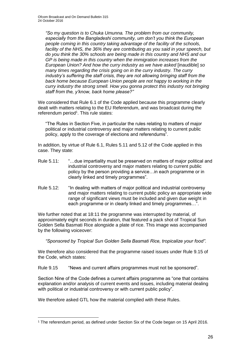*"So my question is to Chuka Umunna. The problem from our community, especially from the Bangladeshi community, um don't you think the European people coming in this country taking advantage of the facility of the schools,*  facility of the NHS, the 36% they are contributing as you said in your speech, but *do you think the 30% schools are being made in this country and NHS and our GP is being made in this country when the immigration increases from the European Union? And how the curry industry as we have asked* [inaudible] *so many times regarding the crisis going on in the curry industry. The curry industry's suffering the staff crisis, they are not allowing bringing staff from the back home because European Union people are not happy to working in the curry industry the strong smell. How you gonna protect this industry not bringing staff from the, y'know, back home please?"*

We considered that Rule 6.1 of the Code applied because this programme clearly dealt with matters relating to the EU Referendum, and was broadcast during the referendum period<sup>1</sup>. This rule states:

"The Rules in Section Five, in particular the rules relating to matters of major political or industrial controversy and major matters relating to current public policy, apply to the coverage of elections and referendums".

In addition, by virtue of Rule 6.1, Rules 5.11 and 5.12 of the Code applied in this case. They state:

- Rule 5.11: "…due impartiality must be preserved on matters of major political and industrial controversy and major matters relating to current public policy by the person providing a service…in each programme or in clearly linked and timely programmes".
- Rule 5.12: "In dealing with matters of major political and industrial controversy and major matters relating to current public policy an appropriate wide range of significant views must be included and given due weight in each programme or in clearly linked and timely programmes…".

We further noted that at 18:11 the programme was interrupted by material, of approximately eight seconds in duration, that featured a pack shot of Tropical Sun Golden Sella Basmati Rice alongside a plate of rice. This image was accompanied by the following voiceover:

*"Sponsored by Tropical Sun Golden Sella Basmati Rice, tropicalize your food"*.

We therefore also considered that the programme raised issues under Rule 9.15 of the Code, which states:

Rule 9.15 "News and current affairs programmes must not be sponsored".

Section Nine of the Code defines a current affairs programme as "one that contains explanation and/or analysis of current events and issues, including material dealing with political or industrial controversy or with current public policy".

We therefore asked GTL how the material complied with these Rules.

<sup>1</sup> <sup>1</sup> The referendum period, as defined under Section Six of the Code began on 15 April 2016.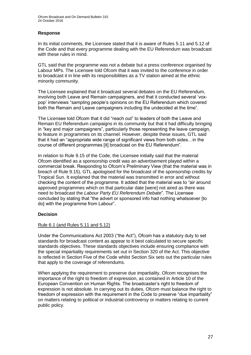# **Response**

In its initial comments, the Licensee stated that it is aware of Rules 5.11 and 5.12 of the Code and that every programme dealing with the EU Referendum was broadcast with these rules in mind.

GTL said that the programme was not a debate but a press conference organised by Labour MPs. The Licensee told Ofcom that it was invited to the conference in order to broadcast it in line with its responsibilities as a TV station aimed at the ethnic minority community.

The Licensee explained that it broadcast several debates on the EU Referendum, involving both Leave and Remain campaigners, and that it conducted several 'voxpop' interviews "sampling people's opinions on the EU Referendum which covered both the Remain and Leave campaigners including the undecided at the time".

The Licensee told Ofcom that it did "reach out" to leaders of both the Leave and Remain EU Referendum campaigns in its community but that it had difficulty bringing in "key and major campaigners", particularly those representing the leave campaign, to feature in programmes on its channel. However, despite these issues, GTL said that it had an "appropriate wide range of significant views from both sides…in the course of different programmes [it] broadcast on the EU Referendum".

In relation to Rule 9.15 of the Code, the Licensee initially said that the material Ofcom identified as a sponsorship credit was an advertisement played within a commercial break. Responding to Ofcom's Preliminary View (that the material was in breach of Rule 9.15), GTL apologised for the broadcast of the sponsorship credits by Tropical Sun. It explained that the material was transmitted in error and without checking the content of the programme. It added that the material was to "air around approved programmes which on that particular date [were] not aired as there was need to broadcast the *Labour Party EU Referendum Debate*". The Licensee concluded by stating that "the advert or sponsored info had nothing whatsoever [to do] with the programme from Labour".

# **Decision**

# Rule 6.1 (and Rules 5.11 and 5.12)

Under the Communications Act 2003 ("the Act"), Ofcom has a statutory duty to set standards for broadcast content as appear to it best calculated to secure specific standards objectives. These standards objectives include ensuring compliance with the special impartiality requirements set out in Section 320 of the Act. This objective is reflected in Section Five of the Code whilst Section Six sets out the particular rules that apply to the coverage of referendums.

When applying the requirement to preserve due impartiality, Ofcom recognises the importance of the right to freedom of expression, as contained in Article 10 of the European Convention on Human Rights. The broadcaster's right to freedom of expression is not absolute. In carrying out its duties, Ofcom must balance the right to freedom of expression with the requirement in the Code to preserve "due impartiality" on matters relating to political or industrial controversy or matters relating to current public policy.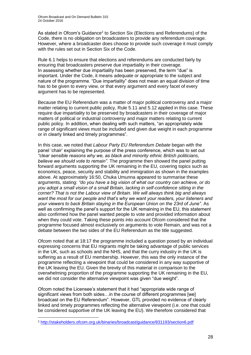As stated in Ofcom's Guidance<sup>2</sup> to Section Six (Elections and Referendums) of the Code, there is no obligation on broadcasters to provide any referendum coverage. However, where a broadcaster does choose to provide such coverage it must comply with the rules set out in Section Six of the Code.

Rule 6.1 helps to ensure that elections and referendums are conducted fairly by ensuring that broadcasters preserve due impartiality in their coverage. In assessing whether due impartiality has been preserved, the term "due" is important. Under the Code, it means adequate or appropriate to the subject and nature of the programme. "Due impartiality" does not mean an equal division of time has to be given to every view, or that every argument and every facet of every argument has to be represented.

Because the EU Referendum was a matter of major political controversy and a major matter relating to current public policy, Rule 5.11 and 5.12 applied in this case. These require due impartiality to be preserved by broadcasters in their coverage of major matters of political or industrial controversy and major matters relating to current public policy. In addition, when dealing with such matters, "an appropriately wide range of significant views must be included and given due weight in each programme or in clearly linked and timely programmes".

In this case, we noted that *Labour Party EU Referendum Debate* began with the panel 'chair' explaining the purpose of the press conference, which was to set out *"clear sensible reasons why we, as black and minority ethnic British politicians, believe we should vote to remain".* The programme then showed the panel putting forward arguments supporting the UK remaining in the EU*,* covering topics such as economics, peace, security and stability and immigration as shown in the examples above. At approximately 16:50, Chuka Umunna appeared to summarise these arguments, stating: *"do you have a big vision of what our country can achieve, or do you adopt a small vision of a small Britain, lacking in self-confidence sitting in the corner? That is not the Labour view of Britain. We will always think big and always want the most for our people and that's why we want your readers, your listeners and your viewers to back Britain staying in the European Union on the 23rd of June".* As well as confirming the panel's support for the UK remaining in the EU, this statement also confirmed how the panel wanted people to vote and provided information about when they could vote. Taking these points into account Ofcom considered that the programme focused almost exclusively on arguments to vote Remain, and was not a debate between the two sides of the EU Referendum as the title suggested.

Ofcom noted that at 18:17 the programme included a question posed by an individual expressing concerns that EU migrants might be taking advantage of public services in the UK, such as schools and the NHS, and that the curry industry in the UK is suffering as a result of EU membership. However, this was the only instance of the programme reflecting a viewpoint that could be considered in any way supportive of the UK leaving the EU. Given the brevity of this material in comparison to the overwhelming proportion of the programme supporting the UK remaining in the EU, we did not consider the alternative viewpoint was given "due weight".

Ofcom noted the Licensee's statement that it had "appropriate wide range of significant views from both sides…in the course of different programmes [we] broadcast on the EU Referendum". However, GTL provided no evidence of clearly linked and timely programmes reflecting the alternative viewpoint (i.e. one that could be considered supportive of the UK leaving the EU). We therefore considered that

1

<sup>2</sup> <http://stakeholders.ofcom.org.uk/binaries/broadcast/guidance/831193/section6.pdf>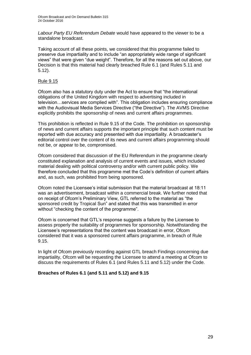*Labour Party EU Referendum Debate* would have appeared to the viewer to be a standalone broadcast.

Taking account of all these points, we considered that this programme failed to preserve due impartiality and to include "an appropriately wide range of significant views" that were given "due weight". Therefore, for all the reasons set out above, our Decision is that this material had clearly breached Rule 6.1 (and Rules 5.11 and 5.12).

# Rule 9.15

Ofcom also has a statutory duty under the Act to ensure that "the international obligations of the United Kingdom with respect to advertising included in television…services are complied with". This obligation includes ensuring compliance with the Audiovisual Media Services Directive ("the Directive"). The AVMS Directive explicitly prohibits the sponsorship of news and current affairs programmes.

This prohibition is reflected in Rule 9.15 of the Code. The prohibition on sponsorship of news and current affairs supports the important principle that such content must be reported with due accuracy and presented with due impartiality. A broadcaster's editorial control over the content of its news and current affairs programming should not be, or appear to be, compromised.

Ofcom considered that discussion of the EU Referendum in the programme clearly constituted explanation and analysis of current events and issues, which included material dealing with political controversy and/or with current public policy. We therefore concluded that this programme met the Code's definition of current affairs and, as such, was prohibited from being sponsored.

Ofcom noted the Licensee's initial submission that the material broadcast at 18:11 was an advertisement, broadcast within a commercial break. We further noted that on receipt of Ofcom's Preliminary View, GTL referred to the material as "the sponsored credit by Tropical Sun" and stated that this was transmitted in error without "checking the content of the programme".

Ofcom is concerned that GTL's response suggests a failure by the Licensee to assess properly the suitability of programmes for sponsorship. Notwithstanding the Licensee's representations that the content was broadcast in error, Ofcom considered that it was a sponsored current affairs programme, in breach of Rule 9.15.

In light of Ofcom previously recording against GTL breach Findings concerning due impartiality, Ofcom will be requesting the Licensee to attend a meeting at Ofcom to discuss the requirements of Rules 6.1 (and Rules 5.11 and 5.12) under the Code.

# **Breaches of Rules 6.1 (and 5.11 and 5.12) and 9.15**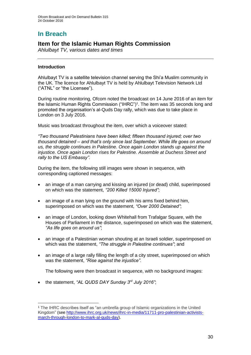# **In Breach**

# **Item for the Islamic Human Rights Commission**

*Ahlulbayt TV, various dates and times*

# **Introduction**

Ahlulbayt TV is a satellite television channel serving the Shi'a Muslim community in the UK. The licence for Ahlulbayt TV is held by Ahlulbayt Television Network Ltd ("ATNL" or "the Licensee").

During routine monitoring, Ofcom noted the broadcast on 14 June 2016 of an item for the Islamic Human Rights Commission ("IHRC")<sup>1</sup>. The item was 35 seconds long and promoted the organisation's al-Quds Day rally, which was due to take place in London on 3 July 2016.

Music was broadcast throughout the item, over which a voiceover stated:

*"Two thousand Palestinians have been killed; fifteen thousand injured; over two thousand detained – and that's only since last September. While life goes on around us, the struggle continues in Palestine. Once again London stands up against the injustice. Once again London rises for Palestine. Assemble at Duchess Street and rally to the US Embassy".*

During the item, the following still images were shown in sequence, with corresponding captioned messages:

- an image of a man carrying and kissing an injured (or dead) child, superimposed on which was the statement, *"200 Killed 15000 Injured"*;
- an image of a man lying on the ground with his arms fixed behind him, superimposed on which was the statement, *"Over 2000 Detained"*;
- an image of London, looking down Whitehall from Trafalgar Square, with the Houses of Parliament in the distance, superimposed on which was the statement, *"As life goes on around us"*;
- an image of a Palestinian woman shouting at an Israeli soldier, superimposed on which was the statement, *"The struggle in Palestine continues"*; and
- an image of a large rally filling the length of a city street, superimposed on which was the statement, *"Rise against the injustice"*.

The following were then broadcast in sequence, with no background images:

the statement, *"AL QUDS DAY Sunday 3rd July 2016"*;

<sup>1</sup> <sup>1</sup> The IHRC describes itself as "an umbrella group of Islamic organizations in the United Kingdom" (see [http://www.ihrc.org.uk/news/ihrc-in-media/11711-pro-palestinian-activists](http://www.ihrc.org.uk/news/ihrc-in-media/11711-pro-palestinian-activists-march-through-london-to-mark-al-quds-day)[march-through-london-to-mark-al-quds-day\)](http://www.ihrc.org.uk/news/ihrc-in-media/11711-pro-palestinian-activists-march-through-london-to-mark-al-quds-day).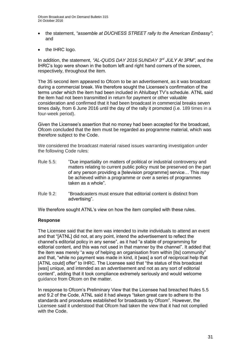- the statement, *"assemble at DUCHESS STREET rally to the American Embassy"*; and
- the IHRC logo.

In addition, the statement, *"AL-QUDS DAY 2016 SUNDAY 3rd JULY At 3PM"*, and the IHRC's logo were shown in the bottom left and right hand corners of the screen, respectively, throughout the item.

The 35 second item appeared to Ofcom to be an advertisement, as it was broadcast during a commercial break. We therefore sought the Licensee's confirmation of the terms under which the item had been included in Ahlulbayt TV's schedule. ATNL said the item had not been transmitted in return for payment or other valuable consideration and confirmed that it had been broadcast in commercial breaks seven times daily, from 6 June 2016 until the day of the rally it promoted (i.e. 189 times in a four-week period).

Given the Licensee's assertion that no money had been accepted for the broadcast, Ofcom concluded that the item must be regarded as programme material, which was therefore subject to the Code.

We considered the broadcast material raised issues warranting investigation under the following Code rules:

- Rule 5.5: "Due impartiality on matters of political or industrial controversy and matters relating to current public policy must be preserved on the part of any person providing a [television programme] service… This may be achieved within a programme or over a series of programmes taken as a whole".
- Rule 9.2: "Broadcasters must ensure that editorial content is distinct from advertising".

We therefore sought ATNL's view on how the item complied with these rules.

# **Response**

The Licensee said that the item was intended to invite individuals to attend an event and that "[ATNL] did not, at any point, intend the advertisement to reflect the channel's editorial policy in any sense", as it had "a stable of programming for editorial content, and this was not used in that manner by the channel". It added that the item was merely "a way of helping an organisation from within [its] community" and that, "while no payment was made in kind, it [was] a sort of reciprocal help that [ATNL could] offer" to IHRC. The Licensee said that "the status of this broadcast [was] unique, and intended as an advertisement and not as any sort of editorial content", adding that it took compliance extremely seriously and would welcome guidance from Ofcom on the matter.

In response to Ofcom's Preliminary View that the Licensee had breached Rules 5.5 and 9.2 of the Code, ATNL said it had always "taken great care to adhere to the standards and procedures established for broadcasts by Ofcom". However, the Licensee said it understood that Ofcom had taken the view that it had not complied with the Code.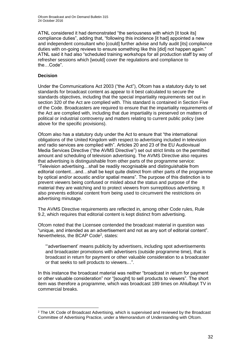ATNL considered it had demonstrated "the seriousness with which [it took its] compliance duties", adding that, "following this incidence [it had] appointed a new and independent consultant who [could] further advise and fully audit [its] compliance duties with on-going reviews to ensure something like this [did] not happen again." ATNL said it had also "scheduled training workshops for all production staff by way of refresher sessions which [would] cover the regulations and compliance to the…Code".

# **Decision**

Under the Communications Act 2003 ("the Act"), Ofcom has a statutory duty to set standards for broadcast content as appear to it best calculated to secure the standards objectives, including that the special impartiality requirements set out in section 320 of the Act are complied with. This standard is contained in Section Five of the Code. Broadcasters are required to ensure that the impartiality requirements of the Act are complied with, including that due impartiality is preserved on matters of political or industrial controversy and matters relating to current public policy (see above for the specific provisions).

Ofcom also has a statutory duty under the Act to ensure that "the international obligations of the United Kingdom with respect to advertising included in television and radio services are complied with". Articles 20 and 23 of the EU Audiovisual Media Services Directive ("the AVMS Directive") set out strict limits on the permitted amount and scheduling of television advertising. The AVMS Directive also requires that advertising is distinguishable from other parts of the programme service: "Television advertising…shall be readily recognisable and distinguishable from editorial content…and…shall be kept quite distinct from other parts of the programme by optical and/or acoustic and/or spatial means". The purpose of this distinction is to prevent viewers being confused or misled about the status and purpose of the material they are watching and to protect viewers from surreptitious advertising. It also prevents editorial content from being used to circumvent the restrictions on advertising minutage.

The AVMS Directive requirements are reflected in, among other Code rules, Rule 9.2, which requires that editorial content is kept distinct from advertising.

Ofcom noted that the Licensee contended the broadcast material in question was "unique, and intended as an advertisement and not as any sort of editorial content". Nevertheless, the BCAP Code<sup>2</sup>, states:

"'advertisement' means publicity by advertisers, including spot advertisements and broadcaster promotions with advertisers (outside programme time), that is broadcast in return for payment or other valuable consideration to a broadcaster or that seeks to sell products to viewers…".

In this instance the broadcast material was neither "broadcast in return for payment or other valuable consideration" nor "[sought] to sell products to viewers". The short item was therefore a programme, which was broadcast 189 times on Ahlulbayt TV in commercial breaks.

<sup>1</sup> <sup>2</sup> The UK Code of Broadcast Advertising, which is supervised and reviewed by the Broadcast Committee of Advertising Practice, under a Memorandum of Understanding with Ofcom.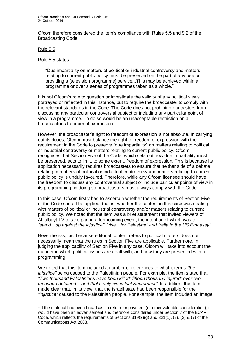Ofcom therefore considered the item's compliance with Rules 5.5 and 9.2 of the Broadcasting Code.<sup>3</sup>

### Rule 5.5

1

Rule 5.5 states:

"Due impartiality on matters of political or industrial controversy and matters relating to current public policy must be preserved on the part of any person providing a [television programme] service...This may be achieved within a programme or over a series of programmes taken as a whole."

It is not Ofcom's role to question or investigate the validity of any political views portrayed or reflected in this instance, but to require the broadcaster to comply with the relevant standards in the Code. The Code does not prohibit broadcasters from discussing any particular controversial subject or including any particular point of view in a programme. To do so would be an unacceptable restriction on a broadcaster's freedom of expression.

However, the broadcaster's right to freedom of expression is not absolute. In carrying out its duties, Ofcom must balance the right to freedom of expression with the requirement in the Code to preserve "due impartiality" on matters relating to political or industrial controversy or matters relating to current public policy. Ofcom recognises that Section Five of the Code, which sets out how due impartiality must be preserved, acts to limit, to some extent, freedom of expression. This is because its application necessarily requires broadcasters to ensure that neither side of a debate relating to matters of political or industrial controversy and matters relating to current public policy is unduly favoured. Therefore, while any Ofcom licensee should have the freedom to discuss any controversial subject or include particular points of view in its programming, in doing so broadcasters must always comply with the Code.

In this case, Ofcom firstly had to ascertain whether the requirements of Section Five of the Code should be applied: that is, whether the content in this case was dealing with matters of political or industrial controversy and/or matters relating to current public policy. We noted that the item was a brief statement that invited viewers of Ahlulbayt TV to take part in a forthcoming event, the intention of which was to *"stand…up against the injustice"*, *"rise…for Palestine" and "rally to the US Embassy"*.

Nevertheless, just because editorial content refers to political matters does not necessarily mean that the rules in Section Five are applicable. Furthermore, in judging the applicability of Section Five in any case, Ofcom will take into account the manner in which political issues are dealt with, and how they are presented within programming.

We noted that this item included a number of references to what it terms *"the injustice"* being caused to the Palestinian people. For example, the item stated that *"Two thousand Palestinians have been killed; fifteen thousand injured; over two thousand detained – and that's only since last September"*. In addition, the item made clear that, in its view, that the Israeli state had been responsible for the *"injustice"* caused to the Palestinian people. For example, the item included an image

<sup>3</sup> If the material had been broadcast in return for payment (or other valuable consideration), it would have been an advertisement and therefore considered under Section 7 of the BCAP Code, which reflects the requirements of Sections  $319(2)(g)$  and  $321(1)$ ,  $(2)$ ,  $(3)$  &  $(7)$  of the Communications Act 2003.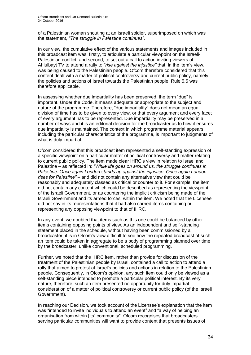of a Palestinian woman shouting at an Israeli soldier, superimposed on which was the statement, *"The struggle in Palestine continues".*

In our view, the cumulative effect of the various statements and images included in this broadcast item was, firstly, to articulate a particular viewpoint on the Israeli-Palestinian conflict, and second, to set out a call to action inviting viewers of Ahlulbayt TV to attend a rally to *"rise against the injustice"* that, in the item's view, was being caused to the Palestinian people. Ofcom therefore considered that this content dealt with a matter of political controversy and current public policy, namely, the policies and actions of Israel towards the Palestinian people. Rule 5.5 was therefore applicable.

In assessing whether due impartiality has been preserved, the term "due" is important. Under the Code, it means adequate or appropriate to the subject and nature of the programme. Therefore, "due impartiality" does not mean an equal division of time has to be given to every view, or that every argument and every facet of every argument has to be represented. Due impartiality may be preserved in a number of ways and it is an editorial decision for the broadcaster as to how it ensures due impartiality is maintained. The context in which programme material appears, including the particular characteristics of the programme, is important to judgments of what is duly impartial.

Ofcom considered that this broadcast item represented a self-standing expression of a specific viewpoint on a particular matter of political controversy and matter relating to current public policy. The item made clear IHRC's view in relation to Israel and Palestine – as reflected in: *"While life goes on around us, the struggle continues in Palestine. Once again London stands up against the injustice. Once again London rises for Palestine"* – and did not contain any alternative view that could be reasonably and adequately classed as critical or counter to it. For example, the item did not contain any content which could be described as representing the viewpoint of the Israeli Government, or as countering the implicit criticism being made of the Israeli Government and its armed forces, within the item. We noted that the Licensee did not say in its representations that it had also carried items containing or representing any opposing viewpoint to that of IHRC.

In any event, we doubted that items such as this one could be balanced by other items containing opposing points of view. As an independent and self-standing statement placed in the schedule, without having been commissioned by a broadcaster, it is in Ofcom's view difficult to see how the repeated broadcast of such an item could be taken in aggregate to be a body of programming planned over time by the broadcaster, unlike conventional, scheduled programming.

Further, we noted that the IHRC item, rather than provide for discussion of the treatment of the Palestinian people by Israel, contained a call to action to attend a rally that aimed to protest at Israel's policies and actions in relation to the Palestinian people. Consequently, in Ofcom's opinion, any such item could only be viewed as a self-standing piece intended to promote a particular political interest. By its very nature, therefore, such an item presented no opportunity for duly impartial consideration of a matter of political controversy or current public policy (of the Israeli Government).

In reaching our Decision, we took account of the Licensee's explanation that the item was "intended to invite individuals to attend an event" and "a way of helping an organisation from within [its] community". Ofcom recognises that broadcasters serving particular communities will want to provide content that presents issues of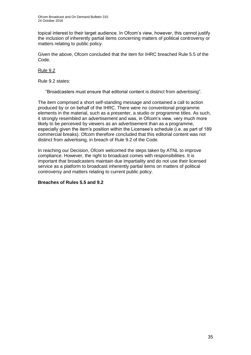topical interest to their target audience. In Ofcom's view, however, this cannot justify the inclusion of inherently partial items concerning matters of political controversy or matters relating to public policy.

Given the above, Ofcom concluded that the item for IHRC breached Rule 5.5 of the Code.

# Rule 9.2

Rule 9.2 states:

"Broadcasters must ensure that editorial content is distinct from advertising".

The item comprised a short self-standing message and contained a call to action produced by or on behalf of the IHRC. There were no conventional programme elements in the material, such as a presenter, a studio or programme titles. As such, it strongly resembled an advertisement and was, in Ofcom's view, very much more likely to be perceived by viewers as an advertisement than as a programme, especially given the item's position within the Licensee's schedule (i.e. as part of 189 commercial breaks). Ofcom therefore concluded that this editorial content was not distinct from advertising, in breach of Rule 9.2 of the Code.

In reaching our Decision, Ofcom welcomed the steps taken by ATNL to improve compliance. However, the right to broadcast comes with responsibilities. It is important that broadcasters maintain due impartiality and do not use their licensed service as a platform to broadcast inherently partial items on matters of political controversy and matters relating to current public policy.

# **Breaches of Rules 5.5 and 9.2**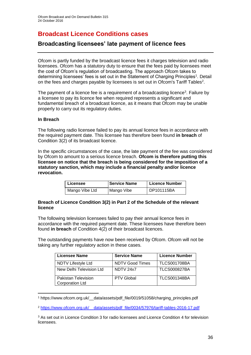# **Broadcast Licence Conditions cases**

# **Broadcasting licensees' late payment of licence fees**

Ofcom is partly funded by the broadcast licence fees it charges television and radio licensees. Ofcom has a statutory duty to ensure that the fees paid by licensees meet the cost of Ofcom's regulation of broadcasting. The approach Ofcom takes to determining licensees' fees is set out in the Statement of Charging Principles<sup>1</sup>. Detail on the fees and charges payable by licensees is set out in Ofcom's Tariff Tables<sup>2</sup>.

The payment of a licence fee is a requirement of a broadcasting licence<sup>3</sup>. Failure by a licensee to pay its licence fee when required represents a significant and fundamental breach of a broadcast licence, as it means that Ofcom may be unable properly to carry out its regulatory duties.

# **In Breach**

1

The following radio licensee failed to pay its annual licence fees in accordance with the required payment date. This licensee has therefore been found **in breach** of Condition 3(2) of its broadcast licence.

In the specific circumstances of the case, the late payment of the fee was considered by Ofcom to amount to a serious licence breach. **Ofcom is therefore putting this licensee on notice that the breach is being considered for the imposition of a statutory sanction, which may include a financial penalty and/or licence revocation.**

| Licensee       | <b>Service Name</b> | <b>Licence Number</b> |
|----------------|---------------------|-----------------------|
| Mango Vibe Ltd | Mango Vibe          | DP101115BA            |

# **Breach of Licence Condition 3(2) in Part 2 of the Schedule of the relevant licence**

The following television licensees failed to pay their annual licence fees in accordance with the required payment date. These licensees have therefore been found **in breach** of Condition 4(2) of their broadcast licences.

The outstanding payments have now been received by Ofcom. Ofcom will not be taking any further regulatory action in these cases.

| <b>Licensee Name</b>                                 | <b>Service Name</b>    | <b>Licence Number</b> |
|------------------------------------------------------|------------------------|-----------------------|
| NDTV Lifestyle Ltd                                   | <b>NDTV Good Times</b> | <b>TLCS001708BA</b>   |
| New Delhi Television Ltd                             | NDTV 24x7              | <b>TLCS000827BA</b>   |
| <b>Pakistan Television</b><br><b>Corporation Ltd</b> | <b>PTV Global</b>      | <b>TLCS001348BA</b>   |

<sup>1</sup> [https://www.ofcom.org.uk/\\_\\_data/assets/pdf\\_file/0019/51058/charging\\_principles.pdf](https://www.ofcom.org.uk/__data/assets/pdf_file/0019/51058/charging_principles.pdf)

<sup>2</sup> https://www.ofcom.org.uk/\_\_data/assets/pdf\_file/0034/57976/tariff-tables-2016-17.pdf

<sup>3</sup> As set out in Licence Condition 3 for radio licensees and Licence Condition 4 for television licensees.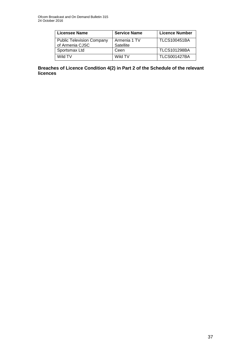| <b>Licensee Name</b>             | <b>Service Name</b> | <b>Licence Number</b> |
|----------------------------------|---------------------|-----------------------|
| <b>Public Television Company</b> | Armenia 1 TV        | <b>TLCS100451BA</b>   |
| of Armenia CJSC                  | Satellite           |                       |
| Sportsmax Ltd                    | Ceen                | <b>TLCS101298BA</b>   |
| Wild TV                          | Wild TV             | <b>TLCS001427BA</b>   |

**Breaches of Licence Condition 4(2) in Part 2 of the Schedule of the relevant licences**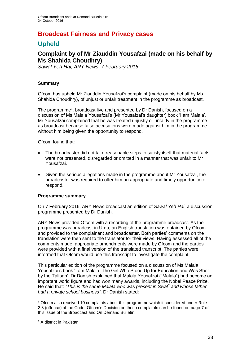# **Broadcast Fairness and Privacy cases**

# **Upheld**

# **Complaint by of Mr Ziauddin Yousafzai (made on his behalf by Ms Shahida Choudhry)**

*Sawal Yeh Hai, ARY News, 7 February 2016*

# **Summary**

Ofcom has upheld Mr Ziauddin Yousafzai's complaint (made on his behalf by Ms Shahida Choudhry), of unjust or unfair treatment in the programme as broadcast.

The programme<sup>1</sup>, broadcast live and presented by Dr Danish, focused on a discussion of Ms Malala Yousafzai's (Mr Yousafzai's daughter) book 'I am Malala'. Mr Yousafzai complained that he was treated unjustly or unfairly in the programme as broadcast because false accusations were made against him in the programme without him being given the opportunity to respond.

Ofcom found that:

- The broadcaster did not take reasonable steps to satisfy itself that material facts were not presented, disregarded or omitted in a manner that was unfair to Mr Yousafzai.
- Given the serious allegations made in the programme about Mr Yousafzai, the broadcaster was required to offer him an appropriate and timely opportunity to respond.

# **Programme summary**

On 7 February 2016, ARY News broadcast an edition of *Sawal Yeh Hai*, a discussion programme presented by Dr Danish.

ARY News provided Ofcom with a recording of the programme broadcast. As the programme was broadcast in Urdu, an English translation was obtained by Ofcom and provided to the complainant and broadcaster. Both parties' comments on the translation were then sent to the translator for their views. Having assessed all of the comments made, appropriate amendments were made by Ofcom and the parties were provided with a final version of the translated transcript. The parties were informed that Ofcom would use this transcript to investigate the complaint.

This particular edition of the programme focused on a discussion of Ms Malala Yousafzai's book 'I am Malala: The Girl Who Stood Up for Education and Was Shot by the Taliban'. Dr Danish explained that Malala Yousafzai ("Malala") had become an important world figure and had won many awards, including the Nobel Peace Prize. He said that: *"This is the same Malala who was present in Swat*<sup>2</sup> *and whose father had a private school business"*. Dr Danish stated:

1

<sup>1</sup> Ofcom also received 10 complaints about this programme which it considered under Rule 2.3 (offence) of the Code. Ofcom's Decision on these complaints can be found on page 7 of this issue of the Broadcast and On Demand Bulletin.

<sup>2</sup> A district in Pakistan.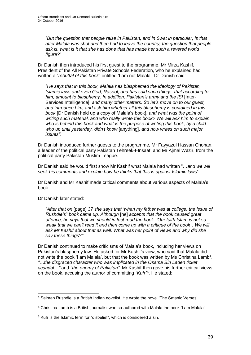*"But the question that people raise in Pakistan, and in Swat in particular, is that after Malala was shot and then had to leave the country, the question that people ask is, what is it that she has done that has made her such a revered world figure?*"

Dr Danish then introduced his first guest to the programme, Mr Mirza Kashif, President of the All Pakistan Private Schools Federation, who he explained had written a "*rebuttal of this book*" entitled 'I am not Malala'. Dr Danish said:

*"He says that in this book, Malala has blasphemed the ideology of Pakistan, Islamic laws and even God, Rasool, and has said such things, that according to him, amount to blasphemy. In addition, Pakistan's army and the ISI* [Inter-Services Intelligence], *and many other matters. So let's move on to our guest, and introduce him, and ask him whether all this blasphemy is contained in this book* [Dr Danish held up a copy of Malala's book], *and what was the point of writing such material, and who really wrote this book? We will ask him to explain*  who is behind this book and what is the purpose of writing this book, by a child *who up until yesterday, didn't know* [anything], *and now writes on such major issues"*.

Dr Danish introduced further guests to the programme, Mr Fayyazul Hassan Chohan, a leader of the political party Pakistan Tehreek-I-Insaaf, and Mr Ajmal Wazir, from the political party Pakistan Muslim League.

Dr Danish said he would first show Mr Kashif what Malala had written "…*and we will seek his comments and explain how he thinks that this is against Islamic laws*".

Dr Danish and Mr Kashif made critical comments about various aspects of Malala's book.

Dr Danish later stated:

*"After that on* [page] *37 she says that 'when my father was at college, the issue of Rushdie's*<sup>3</sup> *book came up. Although* [he] *accepts that the book caused great offence, he says that we should in fact read the book. 'Our faith Islam is not so weak that we can't read it and then come up with a critique of the book''. We will ask Mr Kashif about that as well. What was her point of views and why did she say these things?"*

Dr Danish continued to make criticisms of Malala's book, including her views on Pakistan's blasphemy law. He asked for Mr Kashif's view, who said that Malala did not write the book 'I am Malala', but that the book was written by Ms Christina Lamb<sup>4</sup>, *"*…*the disgraced character who was implicated in the Osama Bin Laden ticket scandal…"* and *"the enemy of Pakistan"*. Mr Kashif then gave his further critical views on the book, accusing the author of committing *"Kufr"* 5 . He stated:

<sup>1</sup> <sup>3</sup> Salman Rushdie is a British Indian novelist. He wrote the novel 'The Satanic Verses'.

<sup>4</sup> Christina Lamb is a British journalist who co-authored with Malala the book 'I am Malala'.

<sup>5</sup> Kufr is the Islamic term for "disbelief", which is considered a sin.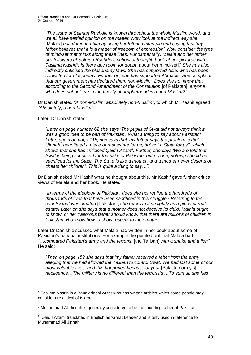*"The issue of Salman Rushdie is known throughout the whole Muslim world, and we all have settled opinion on the matter. Now look at the indirect way she* [Malala] *has defended him by using her father's example and saying that 'my father believes that it is a matter of freedom of expression'. Now consider the type of mind-set that thinks along these lines. Fundamentally, Malala and her father are followers of Salman Rushdie's school of thought. Look at her pictures with Taslima Nasrin*<sup>6</sup> *. Is there any room for doubt* [about her mind-set]*? She has also indirectly criticised the blasphemy laws. She has supported Asia, who has been convicted for blasphemy. Further on, she has supported Ahmadis. She complains that our government has declared them non-Muslim. Does she not know that according to the Second Amendment of the Constitution* [of Pakistan], *anyone who does not believe in the finality of prophethood is a non-Muslim?"*

Dr Danish stated *"A non-Muslim, absolutely non-Muslim"*, to which Mr Kashif agreed *"Absolutely, a non-Muslim"*.

### Later, Dr Danish stated:

1

*"Later on page number 62 she says 'The pupils of Swat did not always think it was a good idea to be part of Pakistan'. What a thing to say about Pakistan! Later, again on page 116, she says that 'my father says the problem is that 'Jinnah<sup>7</sup> negotiated a piece of real estate for us, but not a State for us'', which shows that she has criticised Qaid I Azam<sup>8</sup> . Further, she says 'We are told that Swat is being sacrificed for the sake of Pakistan, but no one, nothing should be sacrificed for the State. The State is like a mother, and a mother never deserts or cheats her children'. This is quite a thing to say…"*.

Dr Danish asked Mr Kashif what he thought about this. Mr Kashif gave further critical views of Malala and her book. He stated:

*"In terms of the ideology of Pakistan, does she not realise the hundreds of thousands of lives that have been sacrificed in this struggle? Referring to the country that was created* [Pakistan], *she refers to it so lightly as a piece of real estate! Later on she says that a mother does not deceive its child. Malala ought to know, or her traitorous father should know, that there are millions of children in Pakistan who know how to show respect to their mother"*.

Later Dr Danish discussed what Malala had written in her book about some of Pakistan's national institutions. For example, he pointed out that Malala had *"*…*compared Pakistan's army and the terrorist* [the Taliban] *with a snake and a lion"*. He said:

*"Then on page 159 she says that 'my father received a letter from the army alleging that we had allowed the Taliban to control Swat. We had lost some of our most valuable lives, and this happened because of your* [Pakistan army's] *negligence…The military is no different than the terrorists'…To sum up she has* 

<sup>6</sup> Taslima Nasrin is a Bangladeshi writer who has written articles which some people may consider are critical of Islam.

<sup>7</sup> Muhammad Ali Jinnah is generally considered to be the founding father of Pakistan.

<sup>&</sup>lt;sup>8</sup> 'Qaid I Azam' translates in English as 'Great Leader' and is only used in reference to Muhammad Ali Jinnah.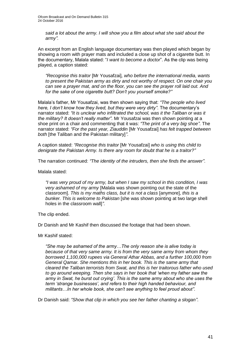*said a lot about the army. I will show you a film about what she said about the army".*

An excerpt from an English language documentary was then played which began by showing a room with prayer mats and included a close up shot of a cigarette butt. In the documentary, Malala stated: "*I want to become a doctor*". As the clip was being played, a caption stated:

*"Recognise this traitor* [Mr Yousafzai]*, who before the international media, wants to present the Pakistan army as dirty and not worthy of respect. On one chair you can see a prayer mat, and on the floor, you can see the prayer roll laid out. And for the sake of one cigarette butt? Don't you yourself smoke?"*

Malala's father, Mr Yousafzai, was then shown saying that: *"The people who lived here, I don't know how they lived, but they were very dirty"*. The documentary's narrator stated: *"It is unclear who infiltrated the school, was it the Taliban or was it the military? It doesn't really matter"*. Mr Yousafzai was then shown pointing at a shoe print on a chair and commenting that it was: *"The print of a very big shoe"*. The narrator stated: *"For the past year, Ziauddin* [Mr Yousafzai] *has felt trapped between both* [the Taliban and the Pakistan military]*"*.

A caption stated: *"Recognise this traitor* [Mr Yousafzai] *who is using this child to denigrate the Pakistan Army. Is there any room for doubt that he is a traitor?"*

The narration continued: *"The identity of the intruders, then she finds the answer"*.

Malala stated:

*"I was very proud of my army, but when I saw my school in this condition, I was very ashamed of my army* [Malala was shown pointing out the state of the classroom]. *This is my maths class, but it is not a class* [anymore], *this is a bunker. This is welcome to Pakistan* [she was shown pointing at two large shell holes in the classroom wall]*"*.

The clip ended.

Dr Danish and Mr Kashif then discussed the footage that had been shown.

Mr Kashif stated:

*"She may be ashamed of the army…The only reason she is alive today is because of that very same army. It is from the very same army from whom they borrowed 1,100,000 rupees via General Athar Abbas, and a further 100,000 from General Qamar. She mentions this in her book. This is the same army that cleared the Taliban terrorists from Swat, and this is her traitorous father who used to go around weeping. Then she says in her book that 'when my father saw the army in Swat, he burst out crying'. This is the same army about who she uses the term 'strange businesses', and refers to their high handed behaviour, and militants…In her whole book, she can't see anything to feel proud about"*.

Dr Danish said: *"Show that clip in which you see her father chanting a slogan"*.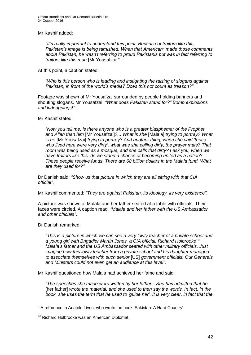Mr Kashif added:

*"It's really important to understand this point. Because of traitors like this, Pakistan's image is being tarnished. When that American*<sup>9</sup> *made those comments about Pakistan, he wasn't referring to proud Pakistanis but was in fact referring to traitors like this man* [Mr Yousafzai]*"*.

At this point, a caption stated:

*"Who is this person who is leading and instigating the raising of slogans against Pakistan, in front of the world's media? Does this not count as treason?"*

Footage was shown of Mr Yousafzai surrounded by people holding banners and shouting slogans. Mr Yousafzai: *"What does Pakistan stand for?" Bomb explosions and kidnappings!"*

Mr Kashif stated:

*"Now you tell me, is there anyone who is a greater blasphemer of the Prophet and Allah than him* [Mr Yousafzai]*?... What is she* [Malala] *trying to portray? What is he* [Mr Yousafzai] *trying to portray? And another thing, when she said 'those who lived here were very dirty', what was she calling dirty, the prayer mats? That room was being used as a mosque, and she calls that dirty? I ask you, when we have traitors like this, do we stand a chance of becoming united as a nation? These people receive funds. There are 68 billion dollars in the Malala fund. What are they used for?"*

Dr Danish said: *"Show us that picture in which they are all sitting with that CIA official"*.

Mr Kashif commented: *"They are against Pakistan, its ideology, its very existence"*.

A picture was shown of Malala and her father seated at a table with officials. Their faces were circled. A caption read: *"Malala and her father with the US Ambassador and other officials"*.

Dr Danish remarked:

*"This is a picture in which we can see a very lowly teacher of a private school and*  a young girl with Brigadier Martin Jones, a CIA official. Richard Holbrooke<sup>10</sup>, *Malala's father and the US Ambassador seated with other military officials. Just imagine how this lowly teacher from a private school and his daughter managed to associate themselves with such senior* [US] *government officials. Our Generals and Ministers could not even get an audience at this level".*

Mr Kashif questioned how Malala had achieved her fame and said:

*"The speeches she made were written by her father…She has admitted that he* [her father] *wrote the material, and she used to then say the words. In fact, in the book, she uses the term that he used to 'guide her'. It is very clear, in fact that the* 

1 <sup>9</sup> A reference to Anatole Liven, who wrote the book 'Pakistan: A Hard Country'.

<sup>10</sup> Richard Holbrooke was an American Diplomat.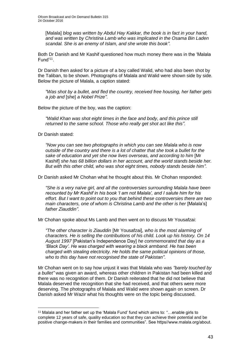[Malala] *blog was written by Abdul Hay Kakkar, the book is in fact in your hand, and was written by Christina Lamb who was implicated in the Osama Bin Laden scandal. She is an enemy of Islam, and she wrote this book"*.

Both Dr Danish and Mr Kashif questioned how much money there was in the 'Malala Fund'<sup>11</sup>.

Dr Danish then asked for a picture of a boy called Walid, who had also been shot by the Taliban, to be shown. Photographs of Malala and Walid were shown side by side. Below the picture of Malala, a caption stated:

*"Was shot by a bullet, and fled the country, received free housing, her father gets a job and* [she] *a Nobel Prize"*.

Below the picture of the boy, was the caption:

*"Walid Khan was shot eight times in the face and body, and this prince still returned to the same school. Those who really get shot act like this"*.

Dr Danish stated:

1

*"Now you can see two photographs in which you can see Malala who is now outside of the country and there is a lot of chatter that she took a bullet for the sake of education and yet she now lives overseas, and according to him* [Mr Kashif] *she has 68 billion dollars in her account, and the world stands beside her. But with this other child, who was shot eight times, nobody stands beside him"*.

Dr Danish asked Mr Chohan what he thought about this. Mr Chohan responded:

*"She is a very naïve girl, and all the controversies surrounding Malala have been recounted by Mr Kashif in his book 'I am not Malala', and I salute him for his effort. But I want to point out to you that behind these controversies there are two main characters, one of whom is Christina Lamb and the other is her* [Malala's] *father Ziauddin"*.

Mr Chohan spoke about Ms Lamb and then went on to discuss Mr Yousafzai:

*"The other character is Ziauddin* [Mr Yousafzai]*, who is the most alarming of characters. He is selling the contributions of his child. Look up his history. On 14 August 1997* [Pakistan's Independence Day] *he commemorated that day as a 'Black Day'. He was charged with wearing a black armband. He has been charged with stealing electricity. He holds the same political opinions of those, who to this day have not recognised the state of Pakistan"*.

Mr Chohan went on to say how unjust it was that Malala who was *"barely touched by a bullet"* was given an award, whereas other children in Pakistan had been killed and there was no recognition of them. Dr Danish reiterated that he did not believe that Malala deserved the recognition that she had received, and that others were more deserving. The photographs of Malala and Walid were shown again on screen. Dr Danish asked Mr Wazir what his thoughts were on the topic being discussed.

<sup>11</sup> Malala and her father set up the 'Malala Fund' fund which aims to: "…enable girls to complete 12 years of safe, quality education so that they can achieve their potential and be positive change-makers in their families and communities". See https//www.malala.org/about.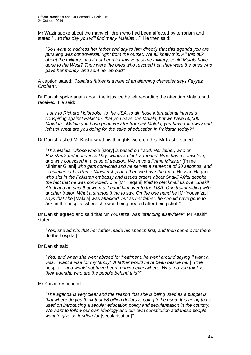Mr Wazir spoke about the many children who had been affected by terrorism and stated "…*to this day you will find many Malalas*…". He then said:

*"So I want to address her father and say to him directly that this agenda you are pursuing was controversial right from the outset. We all knew this. All this talk about the military, had it not been for this very same military, could Malala have gone to the West? They were the ones who rescued her, they were the ones who gave her money, and sent her abroad"*.

A caption stated: *"Malala's father is a man of an alarming character says Fayyaz Chohan"*.

Dr Danish spoke again about the injustice he felt regarding the attention Malala had received. He said:

*"I say to Richard Holbrooke, to the USA, to all those international interests conspiring against Pakistan, that you have one Malala, but we have 50,000 Malalas…Malala you have gone very far from us! Malala, you have run away and left us! What are you doing for the sake of education in Pakistan today?"*

Dr Danish asked Mr Kashif what his thoughts were on this. Mr Kashif stated:

*"This Malala, whose whole* [story] *is based on fraud. Her father, who on Pakistan's Independence Day, wears a black armband. Who has a conviction, and was convicted in a case of treason. We have a Prime Minister* [Prime Minister Gilani] *who gets convicted and he serves a sentence of 30 seconds, and is relieved of his Prime Ministership and then we have the man* [Hussan Haqani] *who sits in the Pakistan embassy and issues orders about Shakil Afridi despite the fact that he was convicted…He* [Mr Haqani] *tried to blackmail us over Shakil Afridi and he said that we must hand him over to the USA. One traitor siding with another traitor. What a strange thing to say. On the one hand he* [Mr Yousafzai] *says that she* [Malala] *was attacked, but as her father, he should have gone to her* [in the hospital where she was being treated after being shot]*"*.

Dr Danish agreed and said that Mr Yousafzai was *"standing elsewhere"*. Mr Kashif stated:

*"Yes, she admits that her father made his speech first, and then came over there*  [to the hospital]*"*.

Dr Danish said:

*"Yes, and when she went abroad for treatment, he went around saying 'I want a visa, I want a visa for my family'. A father would have been beside her* [in the hospital]*, and would not have been running everywhere. What do you think is their agenda, who are the people behind this?"*

Mr Kashif responded:

*"The agenda is very clear and the reason that she is being used as a puppet is that where do you think that 68 billion dollars is going to be used. It is going to be used on introducing a secular education policy and secularisation in the country. We want to follow our own ideology and our own constitution and these people want to give us funding for* [secularisation]*"*.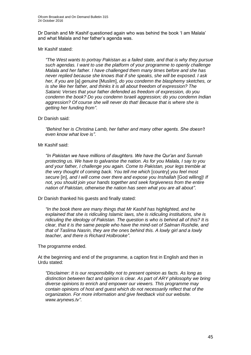Dr Danish and Mr Kashif questioned again who was behind the book 'I am Malala' and what Malala and her father's agenda was.

#### Mr Kashif stated:

*"The West wants to portray Pakistan as a failed state, and that is why they pursue such agendas. I want to use the platform of your programme to openly challenge Malala and her father. I have challenged them many times before and she has never replied because she knows that if she speaks, she will be exposed. I ask her, if you are* [a] *genuine* [Muslim], *do you condemn the blasphemy sketches, or is she like her father, and thinks it is all about freedom of expression? The Satanic Verses that your father defended as freedom of expression, do you condemn the book? Do you condemn Israeli aggression; do you condemn Indian aggression? Of course she will never do that! Because that is where she is getting her funding from"*.

### Dr Danish said:

*"Behind her is Christina Lamb, her father and many other agents. She doesn't even know what love is"*.

### Mr Kashif said:

*"In Pakistan we have millions of daughters. We have the Qur'an and Sunnah protecting us. We have to galvanise the nation. As for you Malala, I say to you and your father, I challenge you again. Come to Pakistan, your legs tremble at the very thought of coming back. You tell me which* [country] *you feel most secure* [in], *and I will come over there and expose you Inshallah* [God willing]! *If not, you should join your hands together and seek forgiveness from the entire nation of Pakistan, otherwise the nation has seen what you are all about"*.

#### Dr Danish thanked his guests and finally stated:

*"In the book there are many things that Mr Kashif has highlighted, and he explained that she is ridiculing Islamic laws, she is ridiculing institutions, she is ridiculing the ideology of Pakistan. The question is who is behind all of this? It is clear, that it is the same people who have the mind-set of Salman Rushdie, and that of Taslima Nasrin, they are the ones behind this. A lowly girl and a lowly teacher, and there is Richard Holbrooke"*.

#### The programme ended.

At the beginning and end of the programme, a caption first in English and then in Urdu stated:

*"Disclaimer: It is our responsibility not to present opinion as facts. As long as distinction between fact and opinion is clear. As part of ARY philosophy we bring diverse opinions to enrich and empower our viewers. This programme may contain opinions of host and guest which do not necessarily reflect that of the organization. For more information and give feedback visit our website. www.arynews.tv"*.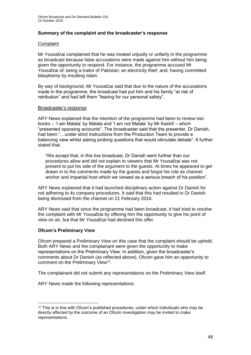# **Summary of the complaint and the broadcaster's response**

### **Complaint**

Mr Yousafzai complained that he was treated unjustly or unfairly in the programme as broadcast because false accusations were made against him without him being given the opportunity to respond. For instance, the programme accused Mr Yousafzai of: being a traitor of Pakistan; an electricity thief; and, having committed blasphemy by insulting Islam.

By way of background, Mr Yousafzai said that due to the nature of the accusations made in the programme, the broadcast had put him and his family "at risk of retribution" and had left them "fearing for our personal safety".

### Broadcaster's response

ARY News explained that the intention of the programme had been to review two books – 'I am Malala' by Malala and 'I am not Malala' by Mr Kashif – which "presented opposing accounts". The broadcaster said that the presenter, Dr Danish, had been "…under strict instructions from the Production Team to provide a balancing view whilst asking probing questions that would stimulate debate". It further stated that:

"We accept that, in this live broadcast, Dr Danish went further than our procedures allow and did not explain to viewers that Mr Yousafzai was not present to put his side of the argument to the guests. At times he appeared to get drawn in to the comments made by the guests and forgot his role as channel anchor and impartial host which we viewed as a serious breach of his position".

ARY News explained that it had launched disciplinary action against Dr Danish for not adhering to its company procedures. It said that this had resulted in Dr Danish being dismissed from the channel on 21 February 2016.

ARY News said that since the programme had been broadcast, it had tried to resolve the complaint with Mr Yousafzai by offering him the opportunity to give his point of view on air, but that Mr Yousafzai had declined this offer.

# **Ofcom's Preliminary View**

Ofcom prepared a Preliminary View on this case that the complaint should be upheld. Both ARY News and the complainant were given the opportunity to make representations on the Preliminary View. In addition, given the broadcaster's comments about Dr Danish (as reflected above), Ofcom gave him an opportunity to comment on the Preliminary View<sup>12</sup>.

The complainant did not submit any representations on the Preliminary View itself.

ARY News made the following representations:

<sup>1</sup> <sup>12</sup> This is in line with Ofcom's published procedures, under which individuals who may be directly affected by the outcome of an Ofcom investigation may be invited to make representations.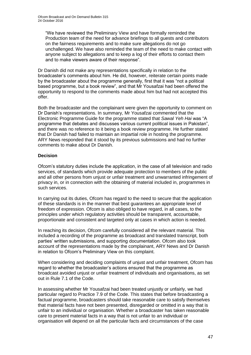"We have reviewed the Preliminary View and have formally reminded the Production team of the need for advance briefings to all guests and contributors on the fairness requirements and to make sure allegations do not go unchallenged. We have also reminded the team of the need to make contact with anyone subject to allegations and to keep a log of their efforts to contact them and to make viewers aware of their response".

Dr Danish did not make any representations specifically in relation to the broadcaster's comments about him. He did, however, reiterate certain points made by the broadcaster about the programme generally, first that it was "not a political based programme, but a book review", and that Mr Yousafzai had been offered the opportunity to respond to the comments made about him but had not accepted this offer.

Both the broadcaster and the complainant were given the opportunity to comment on Dr Danish's representations. In summary, Mr Yousafzai commented that the Electronic Programme Guide for the programme stated that *Sawal Yeh Hai* was "A programme that debates and discusses various current political issues in Pakistan", and there was no reference to it being a book review programme. He further stated that Dr Danish had failed to maintain an impartial role in hosting the programme. ARY News responded that it stood by its previous submissions and had no further comments to make about Dr Danish.

# **Decision**

Ofcom's statutory duties include the application, in the case of all television and radio services, of standards which provide adequate protection to members of the public and all other persons from unjust or unfair treatment and unwarranted infringement of privacy in, or in connection with the obtaining of material included in, programmes in such services.

In carrying out its duties, Ofcom has regard to the need to secure that the application of these standards is in the manner that best guarantees an appropriate level of freedom of expression. Ofcom is also obliged to have regard, in all cases, to the principles under which regulatory activities should be transparent, accountable, proportionate and consistent and targeted only at cases in which action is needed.

In reaching its decision, Ofcom carefully considered all the relevant material. This included a recording of the programme as broadcast and translated transcript, both parties' written submissions, and supporting documentation. Ofcom also took account of the representations made by the complainant, ARY News and Dr Danish in relation to Ofcom's Preliminary View on this complaint.

When considering and deciding complaints of unjust and unfair treatment, Ofcom has regard to whether the broadcaster's actions ensured that the programme as broadcast avoided unjust or unfair treatment of individuals and organisations, as set out in Rule 7.1 of the Code.

In assessing whether Mr Yousafzai had been treated unjustly or unfairly, we had particular regard to Practice 7.9 of the Code. This states that before broadcasting a factual programme, broadcasters should take reasonable care to satisfy themselves that material facts have not been presented, disregarded or omitted in a way that is unfair to an individual or organisation. Whether a broadcaster has taken reasonable care to present material facts in a way that is not unfair to an individual or organisation will depend on all the particular facts and circumstances of the case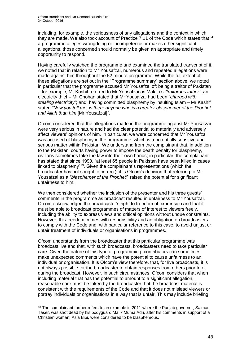including, for example, the seriousness of any allegations and the context in which they are made. We also took account of Practice 7.11 of the Code which states that if a programme alleges wrongdoing or incompetence or makes other significant allegations, those concerned should normally be given an appropriate and timely opportunity to respond.

Having carefully watched the programme and examined the translated transcript of it, we noted that in relation to Mr Yousafzai, numerous and repeated allegations were made against him throughout the 52 minute programme. While the full extent of these allegations are set out in the "Programme summary" section above, we noted in particular that the programme accused Mr Yousafzai of: being a traitor of Pakistan – for example, Mr Kashif referred to Mr Yousafzai as Malala's *"traitorous father"*; an electricity thief – Mr Chohan stated that Mr Yousafzai had been *"charged with stealing electricity"*; and, having committed blasphemy by insulting Islam – Mr Kashif stated *"Now you tell me, is there anyone who is a greater blasphemer of the Prophet and Allah than him* [Mr Yousafzai]*"*.

Ofcom considered that the allegations made in the programme against Mr Yousafzai were very serious in nature and had the clear potential to materially and adversely affect viewers' opinions of him. In particular, we were concerned that Mr Yousafzai was accused of blasphemy in the programme, which is a potentially sensitive and serious matter within Pakistan. We understand from the complainant that, in addition to the Pakistani courts having power to impose the death penalty for blasphemy, civilians sometimes take the law into their own hands; in particular, the complainant has stated that since 1990, "at least 65 people in Pakistan have been killed in cases linked to blasphemy"<sup>13</sup>. Given the complainant's representations (which the broadcaster has not sought to correct), it is Ofcom's decision that referring to Mr Yousafzai as a *"blasphemer of the Prophet"*, raised the potential for significant unfairness to him.

We then considered whether the inclusion of the presenter and his three guests' comments in the programme as broadcast resulted in unfairness to Mr Yousafzai. Ofcom acknowledged the broadcaster's right to freedom of expression and that it must be able to broadcast programmes of matters of interest to viewers freely, including the ability to express views and critical opinions without undue constraints. However, this freedom comes with responsibility and an obligation on broadcasters to comply with the Code and, with particular reference to this case, to avoid unjust or unfair treatment of individuals or organisations in programmes.

Ofcom understands from the broadcaster that this particular programme was broadcast live and that, with such broadcasts, broadcasters need to take particular care. Given the nature of this type of programming, contributors can sometimes make unexpected comments which have the potential to cause unfairness to an individual or organisation. It is Ofcom's view therefore, that, for live broadcasts, it is not always possible for the broadcaster to obtain responses from others prior to or during the broadcast. However, in such circumstances, Ofcom considers that when including material that has the potential to amount to a significant allegation, reasonable care must be taken by the broadcaster that the broadcast material is consistent with the requirements of the Code and that it does not mislead viewers or portray individuals or organisations in a way that is unfair. This may include briefing

1

<sup>&</sup>lt;sup>13</sup> The complainant further refers to an example in 2011 where the Punjab governor, Salman Taser, was shot dead by his bodyguard Malik Muma Adri, after his comments in support of a Christian woman, Asia Bibi, were considered to be blasphemous.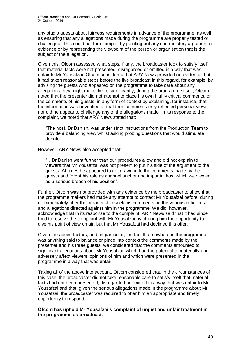any studio guests about fairness requirements in advance of the programme, as well as ensuring that any allegations made during the programme are properly tested or challenged. This could be, for example, by pointing out any contradictory argument or evidence or by representing the viewpoint of the person or organisation that is the subject of the allegation.

Given this, Ofcom assessed what steps, if any, the broadcaster took to satisfy itself that material facts were not presented, disregarded or omitted in a way that was unfair to Mr Yousafzai. Ofcom considered that ARY News provided no evidence that it had taken reasonable steps before the live broadcast in this regard, for example, by advising the guests who appeared on the programme to take care about any allegations they might make. More significantly, during the programme itself, Ofcom noted that the presenter did not attempt to place his own highly critical comments, or the comments of his guests, in any form of context by explaining, for instance, that the information was unverified or that their comments only reflected personal views, nor did he appear to challenge any of the allegations made. In its response to the complaint, we noted that ARY News stated that:

"The host, Dr Danish, was under strict instructions from the Production Team to provide a balancing view whilst asking probing questions that would stimulate debate".

However, ARY News also accepted that:

"…Dr Danish went further than our procedures allow and did not explain to viewers that Mr Yousafzai was not present to put his side of the argument to the guests. At times he appeared to get drawn in to the comments made by the guests and forgot his role as channel anchor and impartial host which we viewed as a serious breach of his position".

Further, Ofcom was not provided with any evidence by the broadcaster to show that the programme makers had made any attempt to contact Mr Yousafzai before, during or immediately after the broadcast to seek his comments on the various criticisms and allegations directed against him in the programme. We did, however, acknowledge that in its response to the complaint, ARY News said that it had since tried to resolve the complaint with Mr Yousafzai by offering him the opportunity to give his point of view on air, but that Mr Yousafzai had declined this offer.

Given the above factors, and, in particular, the fact that nowhere in the programme was anything said to balance or place into context the comments made by the presenter and his three guests, we considered that the comments amounted to significant allegations about Mr Yousafzai, which had the potential to materially and adversely affect viewers' opinions of him and which were presented in the programme in a way that was unfair.

Taking all of the above into account, Ofcom considered that, in the circumstances of this case, the broadcaster did not take reasonable care to satisfy itself that material facts had not been presented, disregarded or omitted in a way that was unfair to Mr Yousafzai and that, given the serious allegations made in the programme about Mr Yousafzai, the broadcaster was required to offer him an appropriate and timely opportunity to respond.

**Ofcom has upheld Mr Yousafzai's complaint of unjust and unfair treatment in the programme as broadcast.**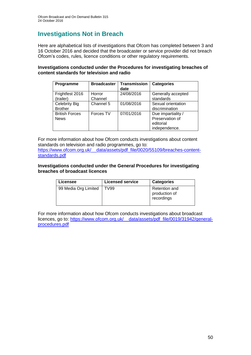# **Investigations Not in Breach**

Here are alphabetical lists of investigations that Ofcom has completed between 3 and 16 October 2016 and decided that the broadcaster or service provider did not breach Ofcom's codes, rules, licence conditions or other regulatory requirements.

# **Investigations conducted under the Procedures for investigating breaches of content standards for television and radio**

| Programme                              | <b>Broadcaster</b> | <b>Transmission</b><br>date | <b>Categories</b>                                                   |
|----------------------------------------|--------------------|-----------------------------|---------------------------------------------------------------------|
| Frightfest 2016<br>(trailer)           | Horror<br>Channel  | 24/08/2016                  | Generally accepted<br>standards                                     |
| <b>Celebrity Big</b><br><b>Brother</b> | Channel 5          | 01/08/2016                  | Sexual orientation<br>discrimination                                |
| <b>British Forces</b><br><b>News</b>   | Forces TV          | 07/01/2016                  | Due impartiality /<br>Preservation of<br>editorial<br>independence. |

For more information about how Ofcom conducts investigations about content standards on television and radio programmes, go to: [https://www.ofcom.org.uk/\\_\\_data/assets/pdf\\_file/0020/55109/breaches-content](https://www.ofcom.org.uk/__data/assets/pdf_file/0020/55109/breaches-content-standards.pdf)[standards.pdf](https://www.ofcom.org.uk/__data/assets/pdf_file/0020/55109/breaches-content-standards.pdf)

### **Investigations conducted under the General Procedures for investigating breaches of broadcast licences**

| Licensee             | <b>Licensed service</b> | <b>Categories</b>                                   |
|----------------------|-------------------------|-----------------------------------------------------|
| 99 Media Org Limited | <b>TV99</b>             | <b>Retention and</b><br>production of<br>recordings |

For more information about how Ofcom conducts investigations about broadcast licences, go to: [https://www.ofcom.org.uk/\\_\\_data/assets/pdf\\_file/0019/31942/general](https://www.ofcom.org.uk/__data/assets/pdf_file/0019/31942/general-procedures.pdf)[procedures.pdf](https://www.ofcom.org.uk/__data/assets/pdf_file/0019/31942/general-procedures.pdf)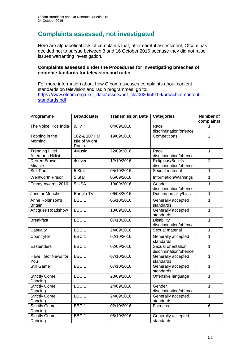# **Complaints assessed, not investigated**

Here are alphabetical lists of complaints that, after careful assessment, Ofcom has decided not to pursue between 3 and 16 October 2016 because they did not raise issues warranting investigation.

### **Complaints assessed under the Procedures for investigating breaches of content standards for television and radio**

For more information about how Ofcom assesses complaints about content standards on television and radio programmes, go to: [https://www.ofcom.org.uk/\\_\\_data/assets/pdf\\_file/0020/55109/breaches-content](https://www.ofcom.org.uk/__data/assets/pdf_file/0020/55109/breaches-content-standards.pdf)[standards.pdf](https://www.ofcom.org.uk/__data/assets/pdf_file/0020/55109/breaches-content-standards.pdf)

| Programme                           | <b>Broadcaster</b> | <b>Transmission Date</b> | <b>Categories</b>                            | <b>Number of</b><br>complaints |
|-------------------------------------|--------------------|--------------------------|----------------------------------------------|--------------------------------|
| The Voice Kids India                | &V                 | 04/09/2016               | Race                                         | 1                              |
|                                     |                    |                          | discrimination/offence                       |                                |
| Topping in the                      | 102 & 107 FM       | 19/09/2016               | Competitions                                 | $\overline{2}$                 |
| Morning                             | Isle of Wight      |                          |                                              |                                |
|                                     | Radio              |                          |                                              |                                |
| Trending Live!<br>Afternoon Hitlist | 4Music             | 22/09/2016               | Race<br>discrimination/offence               | $\overline{1}$                 |
| Derren Brown:                       | 4seven             | 12/10/2016               | Religious/Beliefs                            | $\overline{2}$                 |
| Miracle                             |                    |                          | discrimination/offence                       |                                |
| Sex Pod                             | 5 Star             | 05/10/2016               | Sexual material                              | $\overline{1}$                 |
| <b>Wentworth Prison</b>             | 5 Star             | 06/09/2016               | Information/Warnings                         | $\overline{1}$                 |
| Emmy Awards 2016                    | 5 USA              | 19/09/2016               | Gender<br>discrimination/offence             | 1                              |
| Jonotar Moncho                      | Bangla TV          | 06/08/2016               | Due impartiality/bias                        | $\overline{1}$                 |
| Anne Robinson's<br><b>Britain</b>   | BBC <sub>1</sub>   | 06/10/2016               | Generally accepted<br>standards              | $\overline{1}$                 |
| <b>Antiques Roadshow</b>            | BBC <sub>1</sub>   | 18/09/2016               | Generally accepted<br>standards              | $\overline{1}$                 |
| <b>Breakfast</b>                    | BBC <sub>1</sub>   | 07/10/2016               | <b>Disability</b><br>discrimination/offence  | $\mathbf{1}$                   |
| Casualty                            | BBC <sub>1</sub>   | 24/09/2016               | Sexual material                              | $\mathbf 1$                    |
| Countryfile                         | BBC <sub>1</sub>   | 02/10/2016               | Generally accepted<br>standards              | $\mathbf 1$                    |
| Eastenders                          | BBC <sub>1</sub>   | 02/09/2016               | Sexual orientation<br>discrimination/offence | $\mathbf{1}$                   |
| Have I Got News for<br>You          | BBC <sub>1</sub>   | 07/10/2016               | Generally accepted<br>standards              | 1                              |
| <b>Still Game</b>                   | BBC <sub>1</sub>   | 07/10/2016               | Generally accepted<br>standards              | $\overline{1}$                 |
| <b>Strictly Come</b><br>Dancing     | BBC <sub>1</sub>   | 23/09/2016               | Offensive language                           | $\mathbf 1$                    |
| <b>Strictly Come</b>                | BBC <sub>1</sub>   | 24/09/2016               | Gender                                       | $\mathbf{1}$                   |
| Dancing                             |                    |                          | discrimination/offence                       |                                |
| <b>Strictly Come</b>                | BBC <sub>1</sub>   | 24/09/2016               | Generally accepted                           | 1                              |
| Dancing                             |                    |                          | standards                                    |                                |
| <b>Strictly Come</b><br>Dancing     | BBC <sub>1</sub>   | 02/10/2016               | Fairness                                     | $\overline{6}$                 |
| <b>Strictly Come</b><br>Dancing     | BBC <sub>1</sub>   | 08/10/2016               | Generally accepted<br>standards              | 1                              |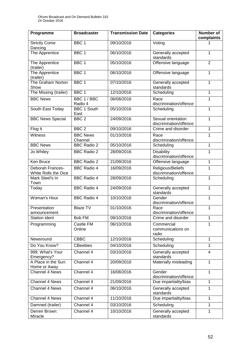| Programme                                | <b>Broadcaster</b>         | <b>Transmission Date</b> | <b>Categories</b>                            | <b>Number of</b><br>complaints |
|------------------------------------------|----------------------------|--------------------------|----------------------------------------------|--------------------------------|
| <b>Strictly Come</b><br>Dancing          | BBC <sub>1</sub>           | 09/10/2016               | Voting                                       | 1                              |
| The Apprentice                           | BBC <sub>1</sub>           | 06/10/2016               | Generally accepted<br>standards              | 1                              |
| The Apprentice<br>(trailer)              | BBC <sub>1</sub>           | 05/10/2016               | Offensive language                           | $\overline{2}$                 |
| The Apprentice<br>(trailer)              | BBC <sub>1</sub>           | 06/10/2016               | Offensive language                           | 1                              |
| The Graham Norton<br>Show                | BBC <sub>1</sub>           | 07/10/2016               | Generally accepted<br>standards              | 1                              |
| The Missing (trailer)                    | BBC <sub>1</sub>           | 12/10/2016               | Scheduling                                   | $\mathbf{1}$                   |
| <b>BBC News</b>                          | BBC 1 / BBC<br>Radio 4     | 06/08/2016               | Race<br>discrimination/offence               | $\mathbf{1}$                   |
| South East Today                         | <b>BBC 1 South</b><br>East | 05/10/2016               | Scheduling                                   | 1                              |
| <b>BBC News Special</b>                  | BBC <sub>2</sub>           | 24/09/2016               | Sexual orientation<br>discrimination/offence | 1                              |
| Flog It                                  | BBC <sub>2</sub>           | 09/10/2016               | Crime and disorder                           | $\mathbf{1}$                   |
| Witness                                  | <b>BBC News</b><br>Channel | 01/10/2016               | Race<br>discrimination/offence               | 1                              |
| <b>BBC News</b>                          | <b>BBC Radio 2</b>         | 05/10/2016               | Scheduling                                   | $\mathbf{1}$                   |
| Jo Whiley                                | <b>BBC Radio 2</b>         | 28/09/2016               | <b>Disability</b><br>discrimination/offence  | 1                              |
| Ken Bruce                                | <b>BBC Radio 2</b>         | 21/09/2016               | Offensive language                           | $\mathbf{1}$                   |
| Deborah Frances-<br>White Rolls the Dice | <b>BBC Radio 4</b>         | 16/09/2016               | Religious/Beliefs<br>discrimination/offence  | 1                              |
| Mark Steel's In<br>Town                  | <b>BBC Radio 4</b>         | 28/09/2016               | Scheduling                                   | 1                              |
| Today                                    | <b>BBC Radio 4</b>         | 24/09/2016               | Generally accepted<br>standards              | 1                              |
| Woman's Hour                             | <b>BBC Radio 4</b>         | 10/10/2016               | Gender<br>discrimination/offence             | $\mathbf{1}$                   |
| Presentation<br>announcement             | <b>Blaze TV</b>            | 01/10/2016               | Race<br>discrimination/offence               | $\mathbf{1}$                   |
| Station ident                            | Bob FM                     | 09/10/2016               | Crime and disorder                           | $\mathbf{1}$                   |
| Programming                              | Castle FM<br>Online        | 06/10/2016               | Commercial<br>communications on<br>radio     | 1                              |
| Newsround                                | <b>CBBC</b>                | 12/10/2016               | Scheduling                                   | 1                              |
| Do You Know?                             | <b>CBeebies</b>            | 04/10/2016               | Scheduling                                   | $\mathbf{1}$                   |
| 999: What's Your<br>Emergency?           | Channel 4                  | 03/10/2016               | Generally accepted<br>standards              | $\overline{4}$                 |
| A Place in the Sun:<br>Home or Away      | Channel 4                  | 20/09/2016               | Materially misleading                        | 1                              |
| <b>Channel 4 News</b>                    | Channel 4                  | 16/08/2016               | Gender<br>discrimination/offence             | 1                              |
| Channel 4 News                           | Channel 4                  | 21/09/2016               | Due impartiality/bias                        | $\mathbf{1}$                   |
| Channel 4 News                           | Channel 4                  | 06/10/2016               | Generally accepted<br>standards              | 1                              |
| Channel 4 News                           | Channel 4                  | 11/10/2016               | Due impartiality/bias                        | $\mathbf{1}$                   |
| Damned (trailer)                         | Channel 4                  | 03/10/2016               | Scheduling                                   | 1                              |
| Derren Brown:<br>Miracle                 | Channel 4                  | 10/10/2016               | Generally accepted<br>standards              | 1                              |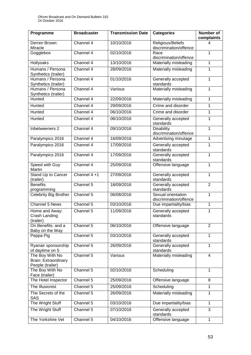| Programme                                                          | <b>Broadcaster</b> | <b>Transmission Date</b> | <b>Categories</b>                            | <b>Number of</b><br>complaints |
|--------------------------------------------------------------------|--------------------|--------------------------|----------------------------------------------|--------------------------------|
| Derren Brown:<br>Miracle                                           | Channel 4          | 10/10/2016               | Religious/Beliefs<br>discrimination/offence  | 4                              |
| Gogglebox                                                          | Channel 4          | 02/10/2016               | Race<br>discrimination/offence               | 1                              |
| Hollyoaks                                                          | Channel 4          | 13/10/2016               | Materially misleading                        | 1                              |
| Humans / Persona<br>Synthetics (trailer)                           | Channel 4          | 28/09/2016               | Materially misleading                        | 1                              |
| Humans / Persona<br>Synthetics (trailer)                           | Channel 4          | 01/10/2016               | Generally accepted<br>standards              | 1                              |
| Humans / Persona<br>Synthetics (trailer)                           | Channel 4          | Various                  | Materially misleading                        | $\mathbf{1}$                   |
| Hunted                                                             | Channel 4          | 22/09/2016               | Materially misleading                        | 1                              |
| Hunted                                                             | Channel 4          | 29/09/2016               | Crime and disorder                           | 1                              |
| Hunted                                                             | Channel 4          | 06/10/2016               | Crime and disorder                           | 1                              |
| Hunted                                                             | Channel 4          | 06/10/2016               | Generally accepted<br>standards              | 1                              |
| Inbetweeners 2                                                     | Channel 4          | 09/10/2016               | <b>Disability</b><br>discrimination/offence  | 1                              |
| Paralympics 2016                                                   | Channel 4          | 16/09/2016               | Advertising minutage                         | 1                              |
| Paralympics 2016                                                   | Channel 4          | 17/09/2016               | Generally accepted<br>standards              | 1                              |
| Paralympics 2016                                                   | Channel 4          | 17/09/2016               | Generally accepted<br>standards              | 1                              |
| Speed with Guy<br>Martin                                           | Channel 4          | 25/09/2016               | Offensive language                           | 1                              |
| Stand Up to Cancer<br>(trailer)                                    | Channel 4+1        | 27/09/2016               | Generally accepted<br>standards              | 1                              |
| <b>Benefits</b><br>programming                                     | Channel 5          | 18/09/2016               | Generally accepted<br>standards              | $\overline{2}$                 |
| Celebrity Big Brother                                              | Channel 5          | 06/08/2016               | Sexual orientation<br>discrimination/offence | $\mathbf{1}$                   |
| Channel 5 News                                                     | Channel 5          | 03/10/2016               | Due impartiality/bias                        | $\mathbf{1}$                   |
| Home and Away:<br>Crash Landing<br>(trailer)                       | Channel 5          | 11/09/2016               | Generally accepted<br>standards              | 1                              |
| On Benefits: and a<br>Baby on the Way                              | Channel 5          | 06/10/2016               | Offensive language                           | $\overline{2}$                 |
| Peppa Pig                                                          | Channel 5          | 03/10/2016               | Generally accepted<br>standards              | $\overline{1}$                 |
| Ryanair sponsorship<br>of daytime on 5                             | Channel 5          | 26/09/2016               | Generally accepted<br>standards              | $\mathbf{1}$                   |
| The Boy With No<br><b>Brain: Extraordinary</b><br>People (trailer) | Channel 5          | Various                  | Materially misleading                        | 4                              |
| The Boy With No<br>Face (trailer)                                  | Channel 5          | 02/10/2016               | Scheduling                                   | $\mathbf{1}$                   |
| The Hotel Inspector                                                | Channel 5          | 25/09/2016               | Offensive language                           | 8                              |
| The Illusionist                                                    | Channel 5          | 25/09/2016               | Scheduling                                   | 1                              |
| The Secrets of the<br>SAS                                          | Channel 5          | 26/09/2016               | Materially misleading                        | $\mathbf{1}$                   |
| The Wright Stuff                                                   | Channel 5          | 03/10/2016               | Due impartiality/bias                        | $\mathbf{1}$                   |
| The Wright Stuff                                                   | Channel 5          | 07/10/2016               | Generally accepted<br>standards              | 3                              |
| The Yorkshire Vet                                                  | Channel 5          | 04/10/2016               | Offensive language                           | $\mathbf{1}$                   |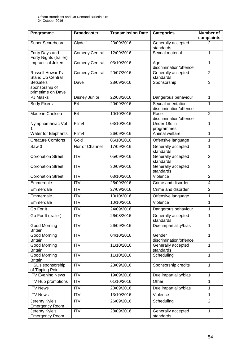| Programme                                        | <b>Broadcaster</b>    | <b>Transmission Date</b> | <b>Categories</b>                            | <b>Number of</b><br>complaints |
|--------------------------------------------------|-----------------------|--------------------------|----------------------------------------------|--------------------------------|
| Super Scoreboard                                 | Clyde 1               | 23/09/2016               | Generally accepted<br>standards              | 2                              |
| Forty Days and<br>Forty Nights (trailer)         | <b>Comedy Central</b> | 12/09/2016               | Sexual material                              | 1                              |
| <b>Impractical Jokers</b>                        | <b>Comedy Central</b> | 03/10/2016               | Age<br>discrimination/offence                | $\mathbf{1}$                   |
| <b>Russell Howard's</b><br>Stand Up Central      | <b>Comedy Central</b> | 20/07/2016               | Generally accepted<br>standards              | $\overline{2}$                 |
| Betsafe's<br>sponsorship of<br>primetime on Dave | Dave                  | 28/09/2016               | Sponsorship                                  | 3                              |
| <b>PJ Masks</b>                                  | Disney Junior         | 22/08/2016               | Dangerous behaviour                          | 1                              |
| <b>Body Fixers</b>                               | E <sub>4</sub>        | 20/09/2016               | Sexual orientation<br>discrimination/offence | 1                              |
| Made in Chelsea                                  | E <sub>4</sub>        | 10/10/2016               | Race<br>discrimination/offence               | $\overline{2}$                 |
| Nymphomaniac Vol                                 | Film4                 | 03/10/2016               | Under 18s in<br>programmes                   | $\mathbf{1}$                   |
| Water for Elephants                              | Film4                 | 26/09/2016               | Animal welfare                               | 1                              |
| <b>Creature Comforts</b>                         | Gold                  | 06/10/2016               | Offensive language                           | $\mathbf 1$                    |
| Saw <sub>3</sub>                                 | Horror Channel        | 17/09/2016               | Generally accepted<br>standards              | 1                              |
| <b>Coronation Street</b>                         | <b>ITV</b>            | 05/09/2016               | Generally accepted<br>standards              | $\overline{2}$                 |
| <b>Coronation Street</b>                         | $\overline{IV}$       | 30/09/2016               | Generally accepted<br>standards              | 3                              |
| <b>Coronation Street</b>                         | <b>ITV</b>            | 03/10/2016               | Violence                                     | $\overline{2}$                 |
| Emmerdale                                        | $\overline{ITV}$      | 26/09/2016               | Crime and disorder                           | 4                              |
| Emmerdale                                        | <b>ITV</b>            | 27/09/2016               | Crime and disorder                           | $\overline{2}$                 |
| Emmerdale                                        | <b>ITV</b>            | 10/10/2016               | Offensive language                           | 1                              |
| Emmerdale                                        | <b>ITV</b>            | 10/10/2016               | Violence                                     | $\mathbf 1$                    |
| Go For It                                        | <b>ITV</b>            | 24/09/2016               | Dangerous behaviour                          | 1                              |
| Go For It (trailer)                              | <b>ITV</b>            | 26/08/2016               | Generally accepted<br>standards              | 1                              |
| <b>Good Morning</b><br><b>Britain</b>            | <b>ITV</b>            | 26/09/2016               | Due impartiality/bias                        | 1                              |
| Good Morning<br><b>Britain</b>                   | <b>ITV</b>            | 04/10/2016               | Gender<br>discrimination/offence             | $\mathbf{1}$                   |
| <b>Good Morning</b><br><b>Britain</b>            | <b>ITV</b>            | 11/10/2016               | Generally accepted<br>standards              | $\mathbf{1}$                   |
| <b>Good Morning</b><br><b>Britain</b>            | <b>ITV</b>            | 11/10/2016               | Scheduling                                   | $\mathbf{1}$                   |
| HSL's sponsorship<br>of Tipping Point            | <b>ITV</b>            | 23/09/2016               | Sponsorship credits                          | $\mathbf{1}$                   |
| <b>ITV Evening News</b>                          | <b>ITV</b>            | 19/09/2016               | Due impartiality/bias                        | $\mathbf{1}$                   |
| <b>ITV Hub promotions</b>                        | <b>ITV</b>            | 01/10/2016               | Other                                        | 1                              |
| <b>ITV News</b>                                  | <b>ITV</b>            | 20/09/2016               | Due impartiality/bias                        | $\mathbf{1}$                   |
| <b>ITV News</b>                                  | <b>ITV</b>            | 13/10/2016               | Violence                                     | $\mathbf{1}$                   |
| Jeremy Kyle's<br><b>Emergency Room</b>           | <b>ITV</b>            | 26/09/2016               | Scheduling                                   | $\overline{2}$                 |
| Jeremy Kyle's<br><b>Emergency Room</b>           | <b>ITV</b>            | 28/09/2016               | Generally accepted<br>standards              | 1                              |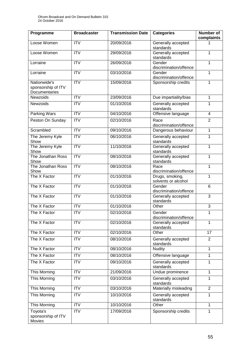| Programme                                           | <b>Broadcaster</b> | <b>Transmission Date</b> | <b>Categories</b>                      | <b>Number of</b><br>complaints |
|-----------------------------------------------------|--------------------|--------------------------|----------------------------------------|--------------------------------|
| Loose Women                                         | <b>ITV</b>         | 20/09/2016               | Generally accepted<br>standards        | 1                              |
| Loose Women                                         | <b>ITV</b>         | 29/09/2016               | Generally accepted<br>standards        | 1                              |
| Lorraine                                            | $\overline{ITV}$   | 26/09/2016               | Gender<br>discrimination/offence       | 1                              |
| Lorraine                                            | <b>ITV</b>         | 03/10/2016               | Gender<br>discrimination/offence       | 1                              |
| Nationwide's<br>sponsorship of ITV<br>Documentaries | $\overline{ITV}$   | 15/09/2016               | Sponsorship credits                    | 1                              |
| Newzoids                                            | <b>ITV</b>         | 23/09/2016               | Due impartiality/bias                  | $\mathbf{1}$                   |
| Newzoids                                            | <b>ITV</b>         | 01/10/2016               | Generally accepted<br>standards        | 1                              |
| Parking Wars                                        | ITV                | 04/10/2016               | Offensive language                     | 4                              |
| Peston On Sunday                                    | $\overline{ITV}$   | 02/10/2016               | Race<br>discrimination/offence         | $\overline{2}$                 |
| Scrambled                                           | ITV                | 09/10/2016               | Dangerous behaviour                    | $\mathbf{1}$                   |
| The Jeremy Kyle<br>Show                             | <b>ITV</b>         | 06/10/2016               | Generally accepted<br>standards        | $\mathbf 1$                    |
| The Jeremy Kyle<br>Show                             | <b>ITV</b>         | 11/10/2016               | Generally accepted<br>standards        | 1                              |
| The Jonathan Ross<br>Show                           | <b>ITV</b>         | 08/10/2016               | Generally accepted<br>standards        | 1                              |
| The Jonathan Ross<br>Show                           | ITV                | 08/10/2016               | Race<br>discrimination/offence         | $\mathbf{1}$                   |
| The X Factor                                        | ITV                | 01/10/2016               | Drugs, smoking,<br>solvents or alcohol | 1                              |
| The X Factor                                        | $\overline{IV}$    | 01/10/2016               | Gender<br>discrimination/offence       | 6                              |
| The X Factor                                        | <b>ITV</b>         | 01/10/2016               | Generally accepted<br>standards        | 3                              |
| The X Factor                                        | <b>ITV</b>         | 01/10/2016               | Other                                  | 3                              |
| The X Factor                                        | <b>ITV</b>         | 02/10/2016               | Gender<br>discrimination/offence       | 1                              |
| The X Factor                                        | <b>ITV</b>         | 02/10/2016               | Generally accepted<br>standards        | 1                              |
| The X Factor                                        | <b>ITV</b>         | 02/10/2016               | Other                                  | $\overline{17}$                |
| The X Factor                                        | ITV                | 08/10/2016               | Generally accepted<br>standards        | $\overline{2}$                 |
| The X Factor                                        | $\overline{IV}$    | 08/10/2016               | <b>Nudity</b>                          | $\mathbf{1}$                   |
| The X Factor                                        | <b>ITV</b>         | 08/10/2016               | Offensive language                     | $\mathbf{1}$                   |
| The X Factor                                        | <b>ITV</b>         | 09/10/2016               | Generally accepted<br>standards        | 1                              |
| This Morning                                        | <b>ITV</b>         | 21/09/2016               | Undue prominence                       | $\mathbf{1}$                   |
| This Morning                                        | <b>ITV</b>         | 03/10/2016               | Generally accepted<br>standards        | $\mathbf{1}$                   |
| This Morning                                        | <b>ITV</b>         | 03/10/2016               | Materially misleading                  | $\overline{2}$                 |
| This Morning                                        | <b>ITV</b>         | 10/10/2016               | Generally accepted<br>standards        | 1                              |
| This Morning                                        | <b>ITV</b>         | 10/10/2016               | Other                                  | $\mathbf{1}$                   |
| Toyota's<br>sponsorship of ITV<br>Movies            | <b>ITV</b>         | 17/09/2016               | Sponsorship credits                    | 1                              |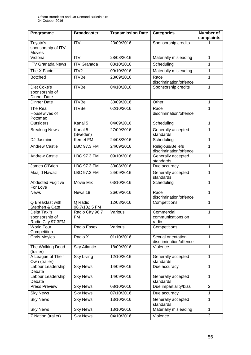| Programme                                           | <b>Broadcaster</b>       | <b>Transmission Date</b> | <b>Categories</b>                            | <b>Number of</b><br>complaints |
|-----------------------------------------------------|--------------------------|--------------------------|----------------------------------------------|--------------------------------|
| Toyota's<br>sponsorship of ITV<br><b>Movies</b>     | $\overline{ITV}$         | 23/09/2016               | Sponsorship credits                          |                                |
| Victoria                                            | <b>ITV</b>               | 28/08/2016               | Materially misleading                        | 1                              |
| <b>ITV Granada News</b>                             | <b>ITV Granada</b>       | 03/10/2016               | Scheduling                                   | $\mathbf 1$                    |
| The X Factor                                        | ITV <sub>2</sub>         | 09/10/2016               | Materially misleading                        | $\mathbf 1$                    |
| <b>Botched</b>                                      | <b>ITVBe</b>             | 28/09/2016               | Race<br>discrimination/offence               | 1                              |
| Diet Coke's<br>sponsorship of<br><b>Dinner Date</b> | <b>ITVBe</b>             | 04/10/2016               | Sponsorship credits                          | $\mathbf{1}$                   |
| <b>Dinner Date</b>                                  | <b>ITVBe</b>             | 30/09/2016               | Other                                        | 1                              |
| The Real<br>Housewives of<br>Potomac                | <b>ITVBe</b>             | 02/10/2016               | Race<br>discrimination/offence               | $\mathbf{1}$                   |
| <b>Outsiders</b>                                    | Kanal 5                  | 04/09/2016               | Scheduling                                   | 1                              |
| <b>Breaking News</b>                                | Kanal 5<br>(Sweden)      | 27/09/2016               | Generally accepted<br>standards              | 1                              |
| DJ Jasmine                                          | <b>Kemet FM</b>          | 24/08/2016               | Scheduling                                   | $\mathbf{1}$                   |
| <b>Andrew Castle</b>                                | LBC 97.3 FM              | 24/09/2016               | Religious/Beliefs<br>discrimination/offence  | 1                              |
| <b>Andrew Castle</b>                                | <b>LBC 97.3 FM</b>       | 09/10/2016               | Generally accepted<br>standards              | 1                              |
| James O'Brien                                       | LBC 97.3 FM              | 30/08/2016               | Due accuracy                                 | $\mathbf{1}$                   |
| Maajid Nawaz                                        | LBC 97.3 FM              | 24/09/2016               | Generally accepted<br>standards              | $\mathbf{1}$                   |
| <b>Abducted Fugitive</b><br>For Love                | Movie Mix                | 03/10/2016               | Scheduling                                   | $\mathbf{1}$                   |
| <b>News</b>                                         | News 18                  | 26/09/2016               | Race<br>discrimination/offence               | $\mathbf{1}$                   |
| Q Breakfast with<br>Stephen & Cate                  | Q Radio<br>96.7/102.5 FM | 12/08/2016               | Competitions                                 | 1                              |
| Delta Taxi's<br>sponsorship of<br>Radio City 97.3FM | Radio Clty 96.7<br>FM    | Various                  | Commercial<br>communications on<br>radio     | 1                              |
| <b>World Tour</b><br>Competition                    | Radio Essex              | Various                  | Competitions                                 | 1                              |
| <b>Chris Moyles</b>                                 | Radio X                  | 01/10/2016               | Sexual orientation<br>discrimination/offence | 1                              |
| The Walking Dead<br>(trailer)                       | Sky Atlantic             | 18/09/2016               | Violence                                     | 1                              |
| A League of Their<br>Own (trailer)                  | <b>Sky Living</b>        | 12/10/2016               | Generally accepted<br>standards              | 1                              |
| Labour Leadership<br>Debate                         | <b>Sky News</b>          | 14/09/2016               | Due accuracy                                 | 1                              |
| Labour Leadership<br>Debate                         | <b>Sky News</b>          | 14/09/2016               | Generally accepted<br>standards              | $\mathbf{1}$                   |
| <b>Press Preview</b>                                | <b>Sky News</b>          | 08/10/2016               | Due impartiality/bias                        | $\overline{2}$                 |
| <b>Sky News</b>                                     | <b>Sky News</b>          | 07/10/2016               | Due accuracy                                 | $\mathbf{1}$                   |
| <b>Sky News</b>                                     | <b>Sky News</b>          | 13/10/2016               | Generally accepted<br>standards              | 1                              |
| <b>Sky News</b>                                     | <b>Sky News</b>          | 13/10/2016               | Materially misleading                        | $\mathbf{1}$                   |
| Z Nation (trailer)                                  | <b>Sky News</b>          | 04/10/2016               | Violence                                     | $\overline{2}$                 |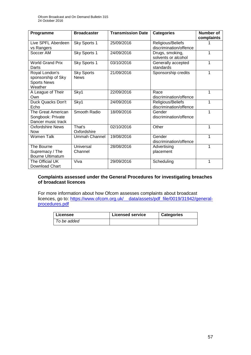| Programme                                                             | <b>Broadcaster</b>               | <b>Transmission Date</b> | <b>Categories</b>                           | Number of<br>complaints |
|-----------------------------------------------------------------------|----------------------------------|--------------------------|---------------------------------------------|-------------------------|
| Live SPFL Aberdeen<br>vs Rangers                                      | Sky Sports 1                     | 25/09/2016               | Religious/Beliefs<br>discrimination/offence |                         |
| Soccer AM                                                             | Sky Sports 1                     | 24/09/2016               | Drugs, smoking,<br>solvents or alcohol      | 1                       |
| <b>World Grand Prix</b><br>Darts                                      | Sky Sports 1                     | 03/10/2016               | Generally accepted<br>standards             | 1                       |
| Royal London's<br>sponsorship of Sky<br><b>Sports News</b><br>Weather | <b>Sky Sports</b><br><b>News</b> | 21/09/2016               | Sponsorship credits                         | 1                       |
| A League of Their<br>Own                                              | Sky1                             | 22/09/2016               | Race<br>discrimination/offence              | 1                       |
| Duck Quacks Don't<br>Echo                                             | Sky1                             | 24/09/2016               | Religious/Beliefs<br>discrimination/offence | 1                       |
| The Great American<br>Songbook: Private<br>Dancer music track         | Smooth Radio                     | 18/09/2016               | Gender<br>discrimination/offence            | 1                       |
| <b>Oxfordshire News</b><br><b>Now</b>                                 | That's<br>Oxfordshire            | 02/10/2016               | Other                                       | 1                       |
| Women Talk                                                            | <b>Ummah Channel</b>             | 19/08/2016               | Gender<br>discrimination/offence            | 1                       |
| The Bourne<br>Supremacy / The<br><b>Bourne Ultimatum</b>              | Universal<br>Channel             | 28/08/2016               | Advertising<br>placement                    | 1                       |
| The Official UK<br>Download Chart                                     | Viva                             | 29/09/2016               | Scheduling                                  | 1                       |

# **Complaints assessed under the General Procedures for investigating breaches of broadcast licences**

For more information about how Ofcom assesses complaints about broadcast licences, go to: https://www.ofcom.org.uk/ data/assets/pdf\_file/0019/31942/general[procedures.pdf](https://www.ofcom.org.uk/__data/assets/pdf_file/0019/31942/general-procedures.pdf)

| ∣ Licensee  | <b>Licensed service</b> | <b>Categories</b> |
|-------------|-------------------------|-------------------|
| To be added |                         |                   |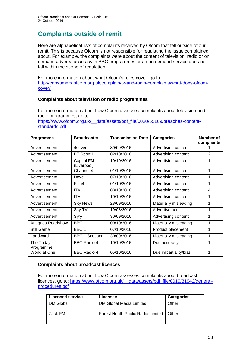# **Complaints outside of remit**

Here are alphabetical lists of complaints received by Ofcom that fell outside of our remit. This is because Ofcom is not responsible for regulating the issue complained about. For example, the complaints were about the content of television, radio or on demand adverts, accuracy in BBC programmes or an on demand service does not fall within the scope of regulation.

For more information about what Ofcom's rules cover, go to: [http://consumers.ofcom.org.uk/complain/tv-and-radio-complaints/what-does-ofcom](http://consumers.ofcom.org.uk/complain/tv-and-radio-complaints/what-does-ofcom-cover/)[cover/](http://consumers.ofcom.org.uk/complain/tv-and-radio-complaints/what-does-ofcom-cover/)

# **Complaints about television or radio programmes**

For more information about how Ofcom assesses complaints about television and radio programmes, go to:

[https://www.ofcom.org.uk/\\_\\_data/assets/pdf\\_file/0020/55109/breaches-content](https://www.ofcom.org.uk/__data/assets/pdf_file/0020/55109/breaches-content-standards.pdf)[standards.pdf](https://www.ofcom.org.uk/__data/assets/pdf_file/0020/55109/breaches-content-standards.pdf)

| Programme              | <b>Broadcaster</b>        | <b>Transmission Date</b> | <b>Categories</b>     | <b>Number of</b><br>complaints |
|------------------------|---------------------------|--------------------------|-----------------------|--------------------------------|
| Advertisement          | 4seven                    | 30/09/2016               | Advertising content   |                                |
| Advertisement          | BT Sport 1                | 02/10/2016               | Advertising content   | $\overline{2}$                 |
| Advertisement          | Capital FM<br>(Liverpool) | 10/10/2016               | Advertising content   | 1                              |
| Advertisement          | Channel 4                 | 01/10/2016               | Advertising content   | 1                              |
| Advertisement          | Dave                      | 07/10/2016               | Advertising content   | 1                              |
| Advertisement          | Film4                     | 01/10/2016               | Advertising content   | 1                              |
| Advertisement          | <b>ITV</b>                | 08/10/2016               | Advertising content   | $\overline{4}$                 |
| Advertisement          | <b>ITV</b>                | 10/10/2016               | Advertising content   | 1                              |
| Advertisement          | <b>Sky News</b>           | 28/09/2016               | Materially misleading | 1                              |
| Advertisement          | Sky TV                    | 19/08/2016               | Advertisement         | 1                              |
| Advertisement          | Syfy                      | 30/09/2016               | Advertising content   | 1                              |
| Antiques Roadshow      | BBC <sub>1</sub>          | 09/10/2016               | Materially misleading | 1                              |
| Still Game             | BBC <sub>1</sub>          | 07/10/2016               | Product placement     | 1                              |
| Landward               | <b>BBC 1 Scotland</b>     | 30/09/2016               | Materially misleading | 1                              |
| The Today<br>Programme | <b>BBC Radio 4</b>        | 10/10/2016               | Due accuracy          | 1                              |
| World at One           | <b>BBC Radio 4</b>        | 05/10/2016               | Due impartiality/bias | 1                              |

# **Complaints about broadcast licences**

For more information about how Ofcom assesses complaints about broadcast licences, go to: [https://www.ofcom.org.uk/\\_\\_data/assets/pdf\\_file/0019/31942/general](https://www.ofcom.org.uk/__data/assets/pdf_file/0019/31942/general-procedures.pdf)[procedures.pdf](https://www.ofcom.org.uk/__data/assets/pdf_file/0019/31942/general-procedures.pdf)

| <b>Licensed service</b> | Licensee                                  | <b>Categories</b> |
|-------------------------|-------------------------------------------|-------------------|
| DM Global               | DM Global Media Limited                   | Other             |
| Zack FM                 | Forest Heath Public Radio Limited   Other |                   |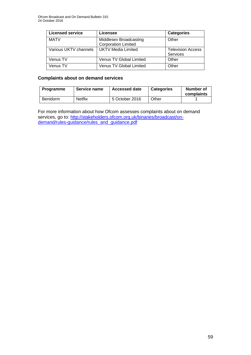| <b>Licensed service</b> | Licensee                                             | <b>Categories</b>                    |
|-------------------------|------------------------------------------------------|--------------------------------------|
| <b>MATV</b>             | Middlesex Broadcasting<br><b>Corporation Limited</b> | Other                                |
| Various UKTV channels   | <b>UKTV Media Limited</b>                            | <b>Television Access</b><br>Services |
| Venus TV                | Venus TV Global Limited                              | Other                                |
| Venus TV                | <b>Venus TV Global Limited</b>                       | Other                                |

# **Complaints about on demand services**

| <b>Programme</b> | Service name   | <b>Accessed date</b> | <b>Categories</b> | <b>Number of</b><br>complaints |
|------------------|----------------|----------------------|-------------------|--------------------------------|
| Benidorm         | <b>Netflix</b> | 5 October 2016       | Other             |                                |

For more information about how Ofcom assesses complaints about on demand services, go to: [http://stakeholders.ofcom.org.uk/binaries/broadcast/on](http://stakeholders.ofcom.org.uk/binaries/broadcast/on-demand/rules-guidance/rules_and_guidance.pdf)[demand/rules-guidance/rules\\_and\\_guidance.pdf](http://stakeholders.ofcom.org.uk/binaries/broadcast/on-demand/rules-guidance/rules_and_guidance.pdf)